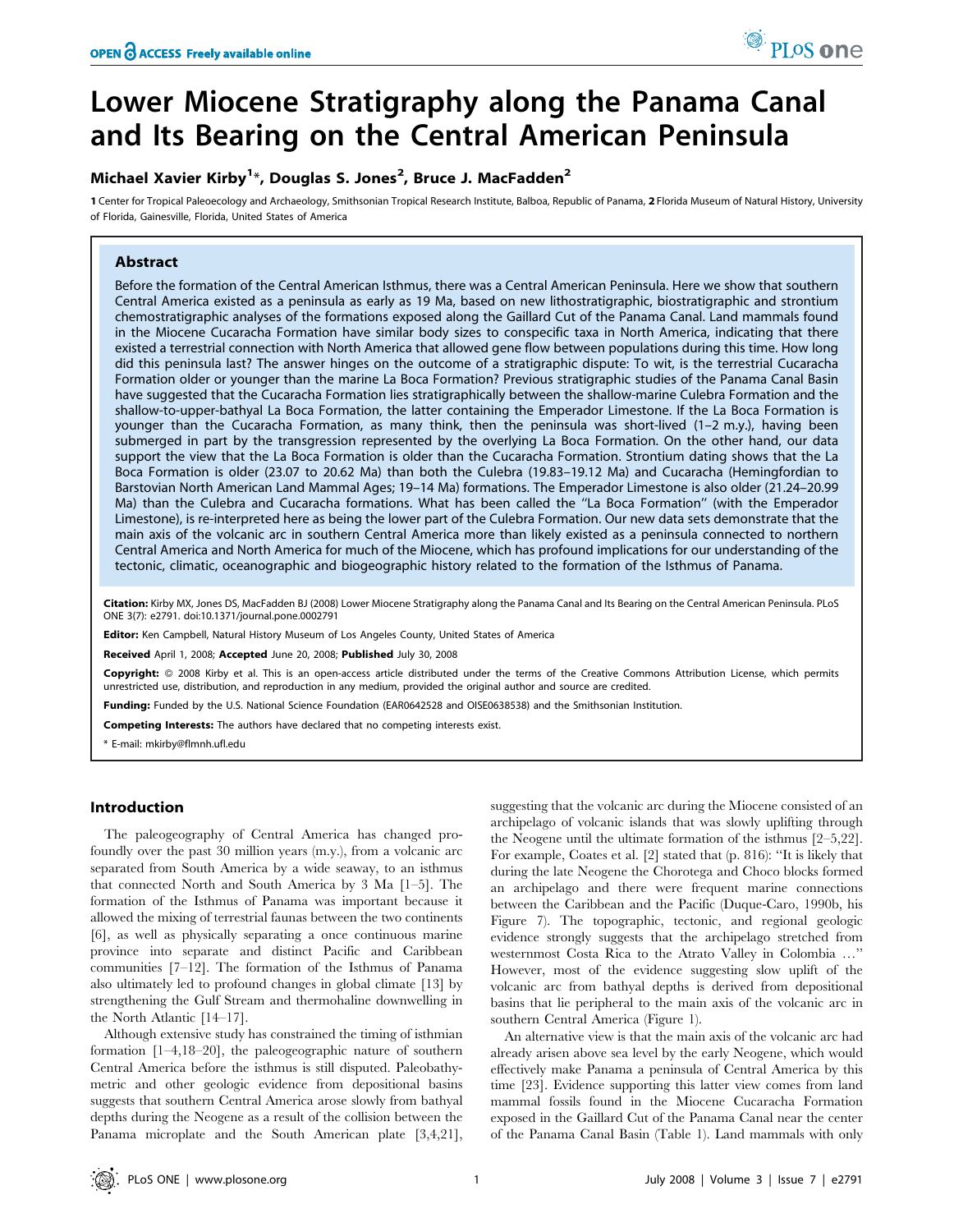# Lower Miocene Stratigraphy along the Panama Canal and Its Bearing on the Central American Peninsula

## Michael Xavier Kirby<sup>1\*</sup>, Douglas S. Jones<sup>2</sup>, Bruce J. MacFadden<sup>2</sup>

1 Center for Tropical Paleoecology and Archaeology, Smithsonian Tropical Research Institute, Balboa, Republic of Panama, 2 Florida Museum of Natural History, University of Florida, Gainesville, Florida, United States of America

## Abstract

Before the formation of the Central American Isthmus, there was a Central American Peninsula. Here we show that southern Central America existed as a peninsula as early as 19 Ma, based on new lithostratigraphic, biostratigraphic and strontium chemostratigraphic analyses of the formations exposed along the Gaillard Cut of the Panama Canal. Land mammals found in the Miocene Cucaracha Formation have similar body sizes to conspecific taxa in North America, indicating that there existed a terrestrial connection with North America that allowed gene flow between populations during this time. How long did this peninsula last? The answer hinges on the outcome of a stratigraphic dispute: To wit, is the terrestrial Cucaracha Formation older or younger than the marine La Boca Formation? Previous stratigraphic studies of the Panama Canal Basin have suggested that the Cucaracha Formation lies stratigraphically between the shallow-marine Culebra Formation and the shallow-to-upper-bathyal La Boca Formation, the latter containing the Emperador Limestone. If the La Boca Formation is younger than the Cucaracha Formation, as many think, then the peninsula was short-lived (1–2 m.y.), having been submerged in part by the transgression represented by the overlying La Boca Formation. On the other hand, our data support the view that the La Boca Formation is older than the Cucaracha Formation. Strontium dating shows that the La Boca Formation is older (23.07 to 20.62 Ma) than both the Culebra (19.83–19.12 Ma) and Cucaracha (Hemingfordian to Barstovian North American Land Mammal Ages; 19–14 Ma) formations. The Emperador Limestone is also older (21.24–20.99 Ma) than the Culebra and Cucaracha formations. What has been called the ''La Boca Formation'' (with the Emperador Limestone), is re-interpreted here as being the lower part of the Culebra Formation. Our new data sets demonstrate that the main axis of the volcanic arc in southern Central America more than likely existed as a peninsula connected to northern Central America and North America for much of the Miocene, which has profound implications for our understanding of the tectonic, climatic, oceanographic and biogeographic history related to the formation of the Isthmus of Panama.

Citation: Kirby MX, Jones DS, MacFadden BJ (2008) Lower Miocene Stratigraphy along the Panama Canal and Its Bearing on the Central American Peninsula. PLoS ONE 3(7): e2791. doi:10.1371/journal.pone.0002791

Editor: Ken Campbell, Natural History Museum of Los Angeles County, United States of America

Received April 1, 2008; Accepted June 20, 2008; Published July 30, 2008

Copyright: @ 2008 Kirby et al. This is an open-access article distributed under the terms of the Creative Commons Attribution License, which permits unrestricted use, distribution, and reproduction in any medium, provided the original author and source are credited.

Funding: Funded by the U.S. National Science Foundation (EAR0642528 and OISE0638538) and the Smithsonian Institution.

Competing Interests: The authors have declared that no competing interests exist.

\* E-mail: mkirby@flmnh.ufl.edu

## Introduction

The paleogeography of Central America has changed profoundly over the past 30 million years (m.y.), from a volcanic arc separated from South America by a wide seaway, to an isthmus that connected North and South America by 3 Ma [1–5]. The formation of the Isthmus of Panama was important because it allowed the mixing of terrestrial faunas between the two continents [6], as well as physically separating a once continuous marine province into separate and distinct Pacific and Caribbean communities [7–12]. The formation of the Isthmus of Panama also ultimately led to profound changes in global climate [13] by strengthening the Gulf Stream and thermohaline downwelling in the North Atlantic [14–17].

Although extensive study has constrained the timing of isthmian formation [1–4,18–20], the paleogeographic nature of southern Central America before the isthmus is still disputed. Paleobathymetric and other geologic evidence from depositional basins suggests that southern Central America arose slowly from bathyal depths during the Neogene as a result of the collision between the Panama microplate and the South American plate [3,4,21], suggesting that the volcanic arc during the Miocene consisted of an archipelago of volcanic islands that was slowly uplifting through the Neogene until the ultimate formation of the isthmus [2–5,22]. For example, Coates et al. [2] stated that (p. 816): ''It is likely that during the late Neogene the Chorotega and Choco blocks formed an archipelago and there were frequent marine connections between the Caribbean and the Pacific (Duque-Caro, 1990b, his Figure 7). The topographic, tectonic, and regional geologic evidence strongly suggests that the archipelago stretched from westernmost Costa Rica to the Atrato Valley in Colombia …'' However, most of the evidence suggesting slow uplift of the volcanic arc from bathyal depths is derived from depositional basins that lie peripheral to the main axis of the volcanic arc in southern Central America (Figure 1).

An alternative view is that the main axis of the volcanic arc had already arisen above sea level by the early Neogene, which would effectively make Panama a peninsula of Central America by this time [23]. Evidence supporting this latter view comes from land mammal fossils found in the Miocene Cucaracha Formation exposed in the Gaillard Cut of the Panama Canal near the center of the Panama Canal Basin (Table 1). Land mammals with only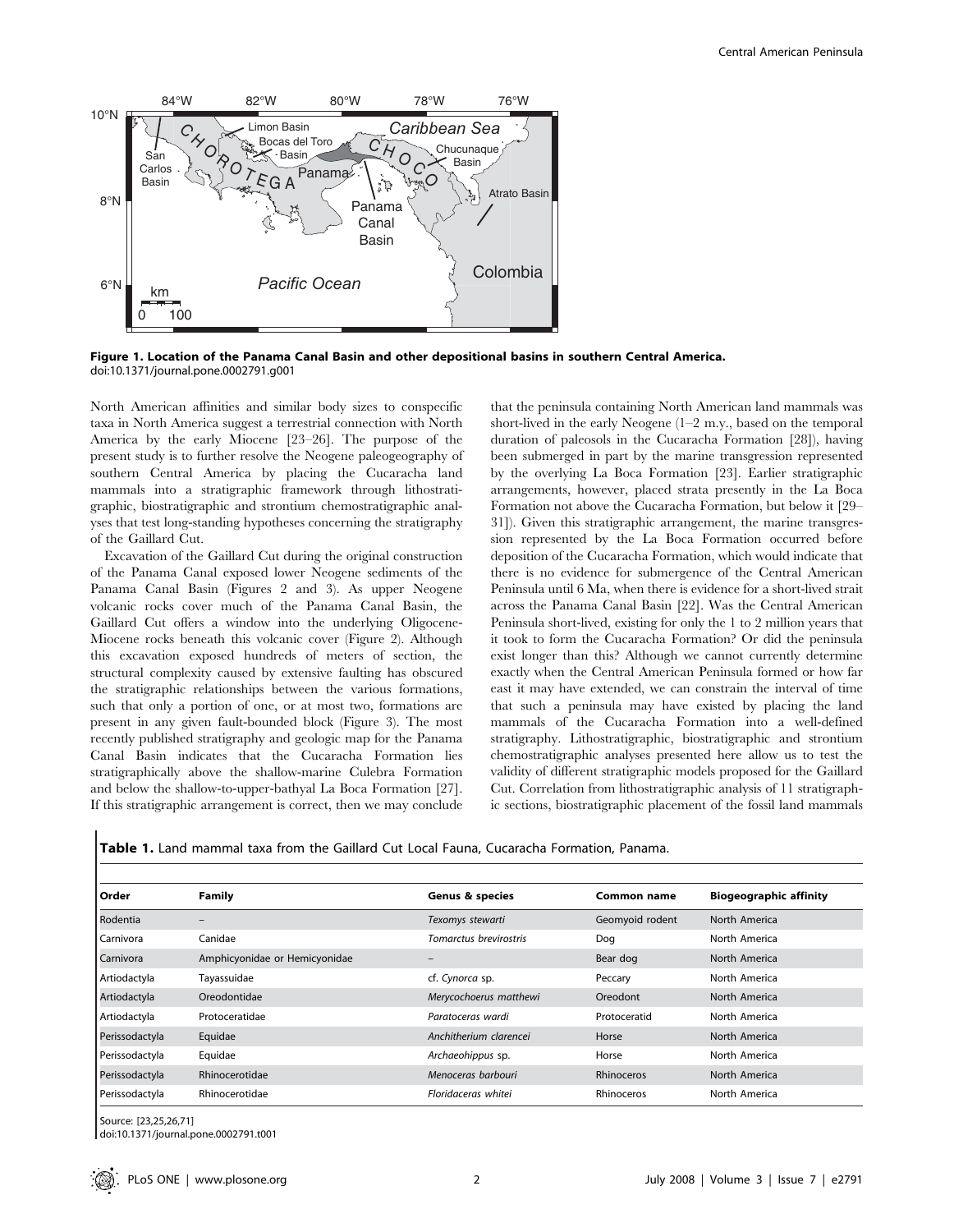

Figure 1. Location of the Panama Canal Basin and other depositional basins in southern Central America. doi:10.1371/journal.pone.0002791.g001

North American affinities and similar body sizes to conspecific taxa in North America suggest a terrestrial connection with North America by the early Miocene [23–26]. The purpose of the present study is to further resolve the Neogene paleogeography of southern Central America by placing the Cucaracha land mammals into a stratigraphic framework through lithostratigraphic, biostratigraphic and strontium chemostratigraphic analyses that test long-standing hypotheses concerning the stratigraphy of the Gaillard Cut.

Excavation of the Gaillard Cut during the original construction of the Panama Canal exposed lower Neogene sediments of the Panama Canal Basin (Figures 2 and 3). As upper Neogene volcanic rocks cover much of the Panama Canal Basin, the Gaillard Cut offers a window into the underlying Oligocene-Miocene rocks beneath this volcanic cover (Figure 2). Although this excavation exposed hundreds of meters of section, the structural complexity caused by extensive faulting has obscured the stratigraphic relationships between the various formations, such that only a portion of one, or at most two, formations are present in any given fault-bounded block (Figure 3). The most recently published stratigraphy and geologic map for the Panama Canal Basin indicates that the Cucaracha Formation lies stratigraphically above the shallow-marine Culebra Formation and below the shallow-to-upper-bathyal La Boca Formation [27]. If this stratigraphic arrangement is correct, then we may conclude

that the peninsula containing North American land mammals was short-lived in the early Neogene (1–2 m.y., based on the temporal duration of paleosols in the Cucaracha Formation [28]), having been submerged in part by the marine transgression represented by the overlying La Boca Formation [23]. Earlier stratigraphic arrangements, however, placed strata presently in the La Boca Formation not above the Cucaracha Formation, but below it [29– 31]). Given this stratigraphic arrangement, the marine transgression represented by the La Boca Formation occurred before deposition of the Cucaracha Formation, which would indicate that there is no evidence for submergence of the Central American Peninsula until 6 Ma, when there is evidence for a short-lived strait across the Panama Canal Basin [22]. Was the Central American Peninsula short-lived, existing for only the 1 to 2 million years that it took to form the Cucaracha Formation? Or did the peninsula exist longer than this? Although we cannot currently determine exactly when the Central American Peninsula formed or how far east it may have extended, we can constrain the interval of time that such a peninsula may have existed by placing the land mammals of the Cucaracha Formation into a well-defined stratigraphy. Lithostratigraphic, biostratigraphic and strontium chemostratigraphic analyses presented here allow us to test the validity of different stratigraphic models proposed for the Gaillard Cut. Correlation from lithostratigraphic analysis of 11 stratigraphic sections, biostratigraphic placement of the fossil land mammals

Table 1. Land mammal taxa from the Gaillard Cut Local Fauna, Cucaracha Formation, Panama.

| Order          | <b>Family</b>                 | <b>Genus &amp; species</b> | Common name       | <b>Biogeographic affinity</b> |  |
|----------------|-------------------------------|----------------------------|-------------------|-------------------------------|--|
| Rodentia       |                               | Texomys stewarti           | Geomyoid rodent   | North America                 |  |
| Carnivora      | Canidae                       | Tomarctus brevirostris     | Dog               | North America                 |  |
| Carnivora      | Amphicyonidae or Hemicyonidae |                            | Bear dog          | North America                 |  |
| Artiodactyla   | Tayassuidae                   | cf. Cynorca sp.            | Peccary           | North America                 |  |
| Artiodactyla   | Oreodontidae                  | Merycochoerus matthewi     | Oreodont          | North America                 |  |
| Artiodactyla   | Protoceratidae                | Paratoceras wardi          | Protoceratid      | North America                 |  |
| Perissodactyla | Equidae                       | Anchitherium clarencei     | Horse             | North America                 |  |
| Perissodactyla | Equidae                       | Archaeohippus sp.          | Horse             | North America                 |  |
| Perissodactyla | Rhinocerotidae                | Menoceras barbouri         | <b>Rhinoceros</b> | North America                 |  |
| Perissodactyla | Rhinocerotidae                | Floridaceras whitei        | Rhinoceros        | North America                 |  |

Source: [23,25,26,71]

doi:10.1371/journal.pone.0002791.t001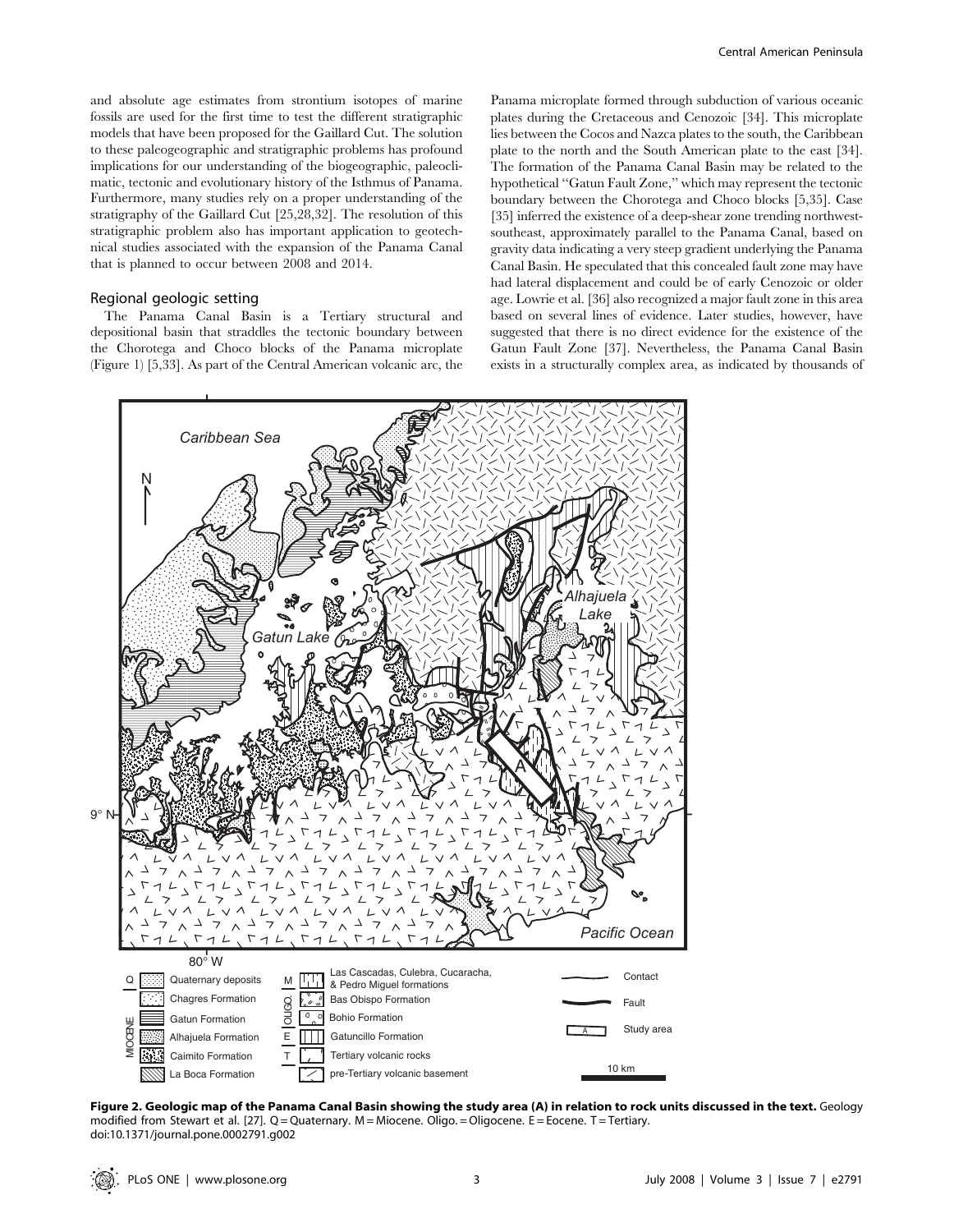and absolute age estimates from strontium isotopes of marine fossils are used for the first time to test the different stratigraphic models that have been proposed for the Gaillard Cut. The solution to these paleogeographic and stratigraphic problems has profound implications for our understanding of the biogeographic, paleoclimatic, tectonic and evolutionary history of the Isthmus of Panama. Furthermore, many studies rely on a proper understanding of the stratigraphy of the Gaillard Cut [25,28,32]. The resolution of this stratigraphic problem also has important application to geotechnical studies associated with the expansion of the Panama Canal that is planned to occur between 2008 and 2014.

### Regional geologic setting

The Panama Canal Basin is a Tertiary structural and depositional basin that straddles the tectonic boundary between the Chorotega and Choco blocks of the Panama microplate (Figure 1) [5,33]. As part of the Central American volcanic arc, the Panama microplate formed through subduction of various oceanic plates during the Cretaceous and Cenozoic [34]. This microplate lies between the Cocos and Nazca plates to the south, the Caribbean plate to the north and the South American plate to the east [34]. The formation of the Panama Canal Basin may be related to the hypothetical ''Gatun Fault Zone,'' which may represent the tectonic boundary between the Chorotega and Choco blocks [5,35]. Case [35] inferred the existence of a deep-shear zone trending northwestsoutheast, approximately parallel to the Panama Canal, based on gravity data indicating a very steep gradient underlying the Panama Canal Basin. He speculated that this concealed fault zone may have had lateral displacement and could be of early Cenozoic or older age. Lowrie et al. [36] also recognized a major fault zone in this area based on several lines of evidence. Later studies, however, have suggested that there is no direct evidence for the existence of the Gatun Fault Zone [37]. Nevertheless, the Panama Canal Basin exists in a structurally complex area, as indicated by thousands of



Figure 2. Geologic map of the Panama Canal Basin showing the study area (A) in relation to rock units discussed in the text. Geology modified from Stewart et al. [27]. Q = Quaternary. M = Miocene. Oligo. = Oligocene. E = Eocene. T = Tertiary. doi:10.1371/journal.pone.0002791.g002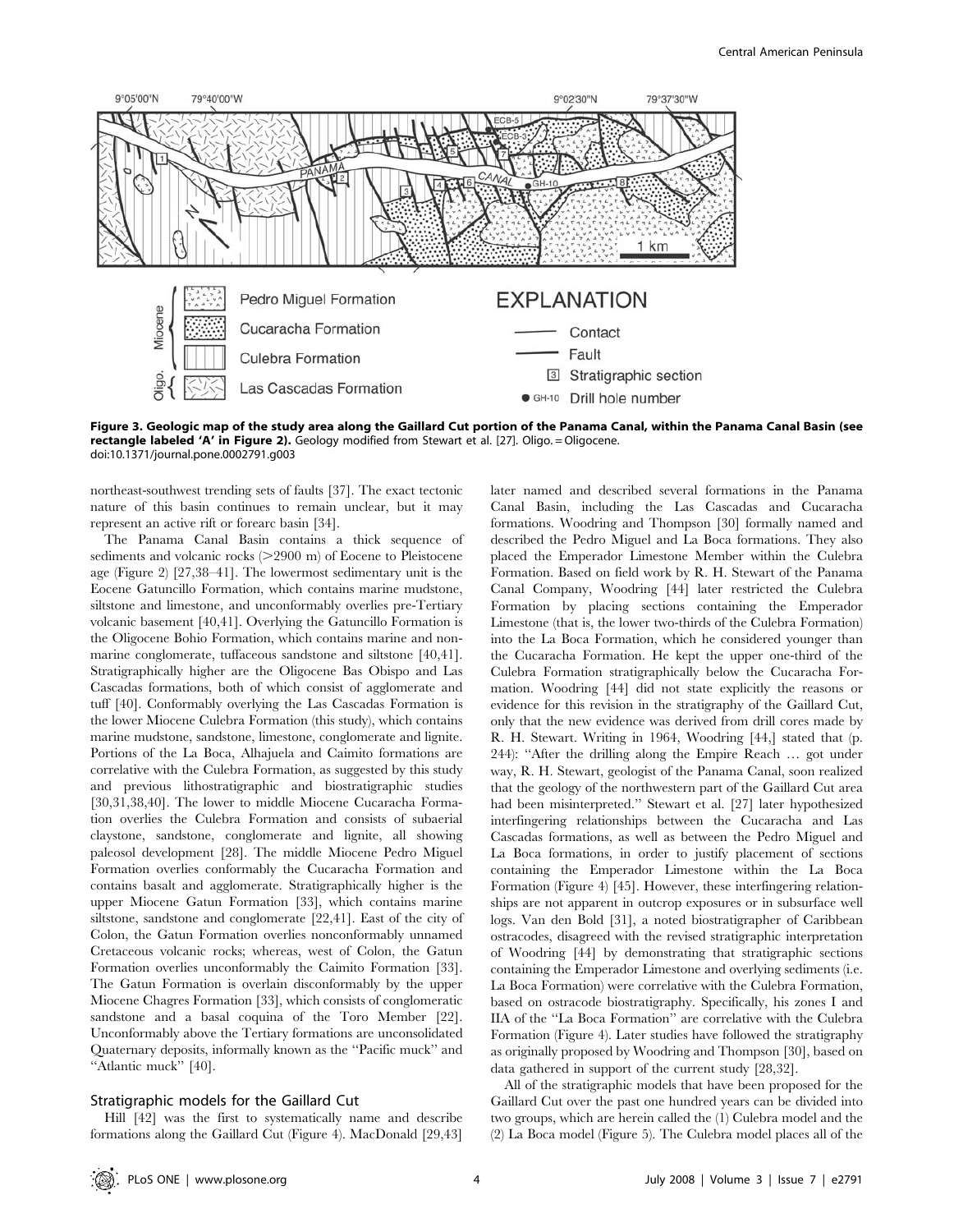

Figure 3. Geologic map of the study area along the Gaillard Cut portion of the Panama Canal, within the Panama Canal Basin (see rectangle labeled 'A' in Figure 2). Geology modified from Stewart et al. [27]. Oligo. = Oligocene. doi:10.1371/journal.pone.0002791.g003

northeast-southwest trending sets of faults [37]. The exact tectonic nature of this basin continues to remain unclear, but it may represent an active rift or forearc basin [34].

The Panama Canal Basin contains a thick sequence of sediments and volcanic rocks  $(>=2900 \text{ m})$  of Eocene to Pleistocene age (Figure 2) [27,38–41]. The lowermost sedimentary unit is the Eocene Gatuncillo Formation, which contains marine mudstone, siltstone and limestone, and unconformably overlies pre-Tertiary volcanic basement [40,41]. Overlying the Gatuncillo Formation is the Oligocene Bohio Formation, which contains marine and nonmarine conglomerate, tuffaceous sandstone and siltstone [40,41]. Stratigraphically higher are the Oligocene Bas Obispo and Las Cascadas formations, both of which consist of agglomerate and tuff [40]. Conformably overlying the Las Cascadas Formation is the lower Miocene Culebra Formation (this study), which contains marine mudstone, sandstone, limestone, conglomerate and lignite. Portions of the La Boca, Alhajuela and Caimito formations are correlative with the Culebra Formation, as suggested by this study and previous lithostratigraphic and biostratigraphic studies [30,31,38,40]. The lower to middle Miocene Cucaracha Formation overlies the Culebra Formation and consists of subaerial claystone, sandstone, conglomerate and lignite, all showing paleosol development [28]. The middle Miocene Pedro Miguel Formation overlies conformably the Cucaracha Formation and contains basalt and agglomerate. Stratigraphically higher is the upper Miocene Gatun Formation [33], which contains marine siltstone, sandstone and conglomerate [22,41]. East of the city of Colon, the Gatun Formation overlies nonconformably unnamed Cretaceous volcanic rocks; whereas, west of Colon, the Gatun Formation overlies unconformably the Caimito Formation [33]. The Gatun Formation is overlain disconformably by the upper Miocene Chagres Formation [33], which consists of conglomeratic sandstone and a basal coquina of the Toro Member [22]. Unconformably above the Tertiary formations are unconsolidated Quaternary deposits, informally known as the ''Pacific muck'' and ''Atlantic muck'' [40].

## Stratigraphic models for the Gaillard Cut

Hill [42] was the first to systematically name and describe formations along the Gaillard Cut (Figure 4). MacDonald [29,43]

later named and described several formations in the Panama Canal Basin, including the Las Cascadas and Cucaracha formations. Woodring and Thompson [30] formally named and described the Pedro Miguel and La Boca formations. They also placed the Emperador Limestone Member within the Culebra Formation. Based on field work by R. H. Stewart of the Panama Canal Company, Woodring [44] later restricted the Culebra Formation by placing sections containing the Emperador Limestone (that is, the lower two-thirds of the Culebra Formation) into the La Boca Formation, which he considered younger than the Cucaracha Formation. He kept the upper one-third of the Culebra Formation stratigraphically below the Cucaracha Formation. Woodring [44] did not state explicitly the reasons or evidence for this revision in the stratigraphy of the Gaillard Cut, only that the new evidence was derived from drill cores made by R. H. Stewart. Writing in 1964, Woodring [44,] stated that (p. 244): "After the drilling along the Empire Reach ... got under way, R. H. Stewart, geologist of the Panama Canal, soon realized that the geology of the northwestern part of the Gaillard Cut area had been misinterpreted.'' Stewart et al. [27] later hypothesized interfingering relationships between the Cucaracha and Las Cascadas formations, as well as between the Pedro Miguel and La Boca formations, in order to justify placement of sections containing the Emperador Limestone within the La Boca Formation (Figure 4) [45]. However, these interfingering relationships are not apparent in outcrop exposures or in subsurface well logs. Van den Bold [31], a noted biostratigrapher of Caribbean ostracodes, disagreed with the revised stratigraphic interpretation of Woodring [44] by demonstrating that stratigraphic sections containing the Emperador Limestone and overlying sediments (i.e. La Boca Formation) were correlative with the Culebra Formation, based on ostracode biostratigraphy. Specifically, his zones I and IIA of the ''La Boca Formation'' are correlative with the Culebra Formation (Figure 4). Later studies have followed the stratigraphy as originally proposed by Woodring and Thompson [30], based on data gathered in support of the current study [28,32].

All of the stratigraphic models that have been proposed for the Gaillard Cut over the past one hundred years can be divided into two groups, which are herein called the (1) Culebra model and the (2) La Boca model (Figure 5). The Culebra model places all of the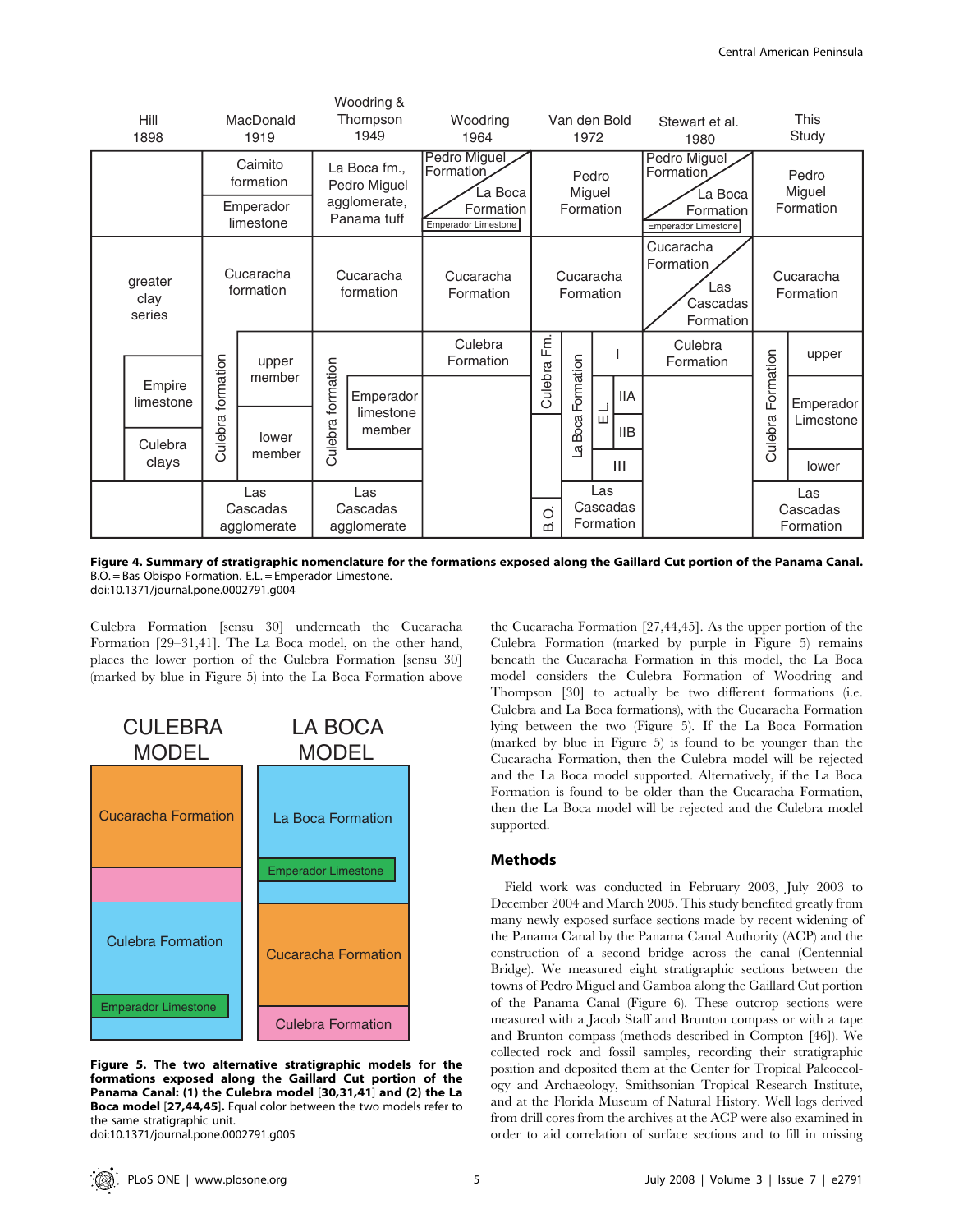|                           | Hill<br>1898        | MacDonald<br>1919              |                      | Woodring &<br>Thompson<br>1949 |                                  | Woodring<br>1964                        | Van den Bold<br>1972 |                              |                              | Stewart et al.<br>1980                                 |                        | This<br>Study                |
|---------------------------|---------------------|--------------------------------|----------------------|--------------------------------|----------------------------------|-----------------------------------------|----------------------|------------------------------|------------------------------|--------------------------------------------------------|------------------------|------------------------------|
|                           |                     |                                | Caimito<br>formation |                                | La Boca fm.,<br>Pedro Miguel     | Pedro Miguel<br>Formation<br>La Boca    | Pedro<br>Miguel      |                              |                              | Pedro Miguel<br>Formation<br>La Boca                   | Pedro<br>Miguel        |                              |
|                           |                     | Emperador<br>limestone         |                      | agglomerate,<br>Panama tuff    |                                  | Formation<br><b>Emperador Limestone</b> | Formation            |                              |                              | Formation<br><b>Emperador Limestone</b>                | Formation              |                              |
| greater<br>clay<br>series |                     | Cucaracha<br>formation         |                      | Cucaracha<br>formation         |                                  | Cucaracha<br>Formation                  |                      | Cucaracha<br>Formation       |                              | Cucaracha<br>Formation<br>Las<br>Cascadas<br>Formation | Cucaracha<br>Formation |                              |
|                           |                     | formation                      | upper<br>member      |                                |                                  | Culebra<br>Formation                    | Fm.                  |                              |                              | Culebra<br>Formation                                   |                        | upper                        |
|                           | Empire<br>limestone |                                |                      | formation                      | Emperador<br>limestone<br>member |                                         | Culebra              | La Boca Formation            | <b>IIA</b><br>닖              |                                                        | Formation              | Emperador<br>Limestone       |
|                           | Culebra<br>clays    | Culebra                        | lower<br>member      | Culebra                        |                                  |                                         |                      |                              | <b>IIB</b><br>$\mathbf{III}$ |                                                        | Culebra                |                              |
|                           |                     |                                |                      |                                |                                  |                                         |                      |                              |                              |                                                        |                        | lower                        |
|                           |                     | Las<br>Cascadas<br>agglomerate |                      | Las<br>Cascadas<br>agglomerate |                                  |                                         | Ö<br>ωi              | Las<br>Cascadas<br>Formation |                              |                                                        |                        | Las<br>Cascadas<br>Formation |

Figure 4. Summary of stratigraphic nomenclature for the formations exposed along the Gaillard Cut portion of the Panama Canal. B.O. = Bas Obispo Formation. E.L. = Emperador Limestone. doi:10.1371/journal.pone.0002791.g004

Culebra Formation [sensu 30] underneath the Cucaracha Formation [29–31,41]. The La Boca model, on the other hand, places the lower portion of the Culebra Formation [sensu 30] (marked by blue in Figure 5) into the La Boca Formation above



Figure 5. The two alternative stratigraphic models for the formations exposed along the Gaillard Cut portion of the Panama Canal: (1) the Culebra model [30,31,41] and (2) the La Boca model [27,44,45]. Equal color between the two models refer to the same stratigraphic unit.

doi:10.1371/journal.pone.0002791.g005

the Cucaracha Formation [27,44,45]. As the upper portion of the Culebra Formation (marked by purple in Figure 5) remains beneath the Cucaracha Formation in this model, the La Boca model considers the Culebra Formation of Woodring and Thompson [30] to actually be two different formations (i.e. Culebra and La Boca formations), with the Cucaracha Formation lying between the two (Figure 5). If the La Boca Formation (marked by blue in Figure 5) is found to be younger than the Cucaracha Formation, then the Culebra model will be rejected and the La Boca model supported. Alternatively, if the La Boca Formation is found to be older than the Cucaracha Formation, then the La Boca model will be rejected and the Culebra model supported.

## Methods

Field work was conducted in February 2003, July 2003 to December 2004 and March 2005. This study benefited greatly from many newly exposed surface sections made by recent widening of the Panama Canal by the Panama Canal Authority (ACP) and the construction of a second bridge across the canal (Centennial Bridge). We measured eight stratigraphic sections between the towns of Pedro Miguel and Gamboa along the Gaillard Cut portion of the Panama Canal (Figure 6). These outcrop sections were measured with a Jacob Staff and Brunton compass or with a tape and Brunton compass (methods described in Compton [46]). We collected rock and fossil samples, recording their stratigraphic position and deposited them at the Center for Tropical Paleoecology and Archaeology, Smithsonian Tropical Research Institute, and at the Florida Museum of Natural History. Well logs derived from drill cores from the archives at the ACP were also examined in order to aid correlation of surface sections and to fill in missing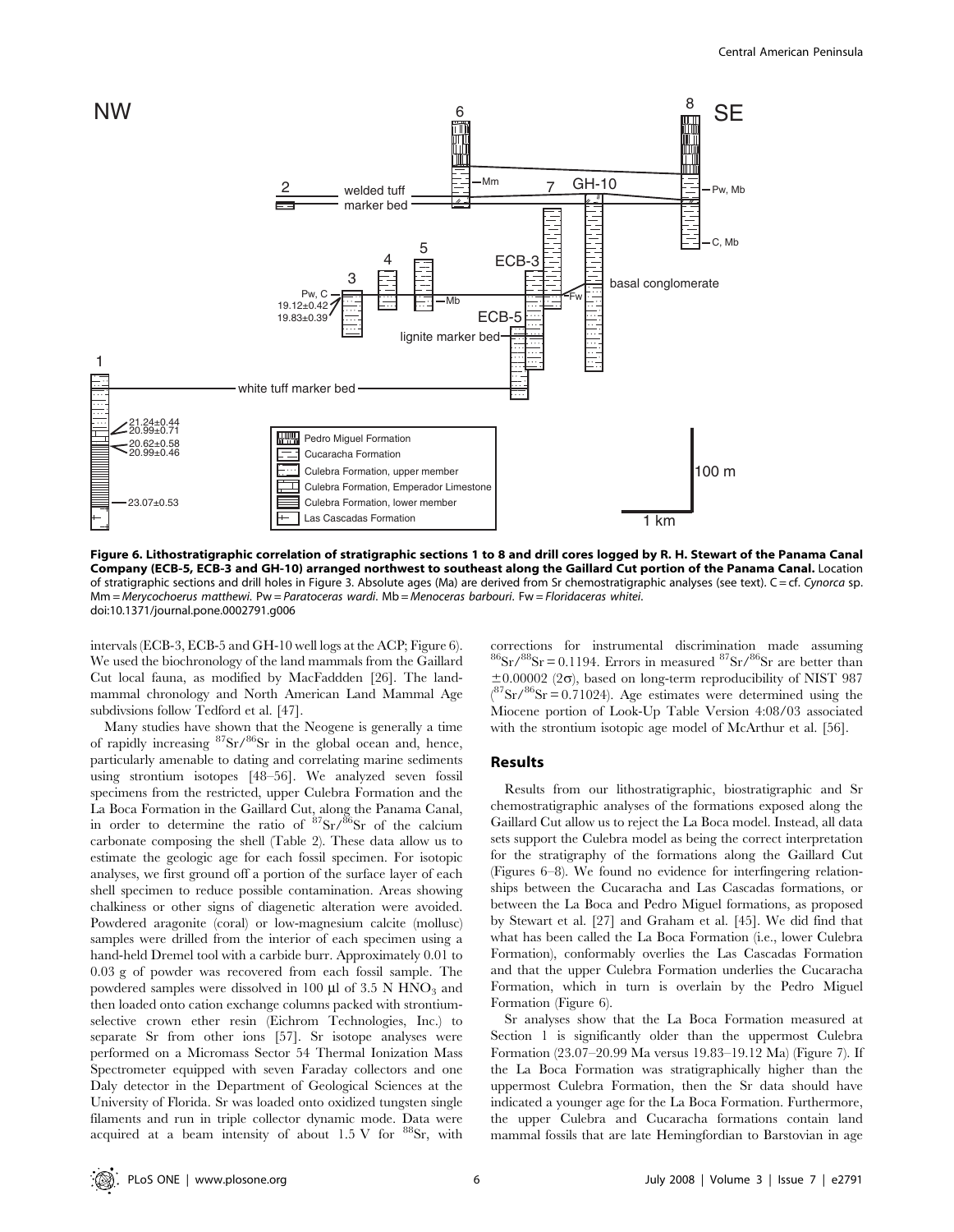

Figure 6. Lithostratigraphic correlation of stratigraphic sections 1 to 8 and drill cores logged by R. H. Stewart of the Panama Canal Company (ECB-5, ECB-3 and GH-10) arranged northwest to southeast along the Gaillard Cut portion of the Panama Canal. Location of stratigraphic sections and drill holes in Figure 3. Absolute ages (Ma) are derived from Sr chemostratigraphic analyses (see text). C = cf. Cynorca sp. Mm = Merycochoerus matthewi. Pw = Paratoceras wardi. Mb = Menoceras barbouri. Fw = Floridaceras whitei. doi:10.1371/journal.pone.0002791.g006

intervals (ECB-3, ECB-5 and GH-10 well logs at the ACP; Figure 6). We used the biochronology of the land mammals from the Gaillard Cut local fauna, as modified by MacFaddden [26]. The landmammal chronology and North American Land Mammal Age subdivsions follow Tedford et al. [47].

Many studies have shown that the Neogene is generally a time of rapidly increasing  ${}^{87}Sr/{}^{86}Sr$  in the global ocean and, hence, particularly amenable to dating and correlating marine sediments using strontium isotopes [48–56]. We analyzed seven fossil specimens from the restricted, upper Culebra Formation and the La Boca Formation in the Gaillard Cut, along the Panama Canal, in order to determine the ratio of  $87\text{Sr}/86\text{Sr}$  of the calcium carbonate composing the shell (Table 2). These data allow us to estimate the geologic age for each fossil specimen. For isotopic analyses, we first ground off a portion of the surface layer of each shell specimen to reduce possible contamination. Areas showing chalkiness or other signs of diagenetic alteration were avoided. Powdered aragonite (coral) or low-magnesium calcite (mollusc) samples were drilled from the interior of each specimen using a hand-held Dremel tool with a carbide burr. Approximately 0.01 to 0.03 g of powder was recovered from each fossil sample. The powdered samples were dissolved in 100 µl of 3.5 N HNO<sub>3</sub> and then loaded onto cation exchange columns packed with strontiumselective crown ether resin (Eichrom Technologies, Inc.) to separate Sr from other ions [57]. Sr isotope analyses were performed on a Micromass Sector 54 Thermal Ionization Mass Spectrometer equipped with seven Faraday collectors and one Daly detector in the Department of Geological Sciences at the University of Florida. Sr was loaded onto oxidized tungsten single filaments and run in triple collector dynamic mode. Data were acquired at a beam intensity of about  $1.5 \text{ V}$  for  $^{88}\text{Sr}$ , with

corrections for instrumental discrimination made assuming  ${}^{86}\text{Sr} / {}^{88}\text{Sr} = 0.1194$ . Errors in measured  ${}^{87}\text{Sr} / {}^{86}\text{Sr}$  are better than  $\pm 0.00002$  (2 $\sigma$ ), based on long-term reproducibility of NIST 987  $({}^{87}\text{Sr}/{}^{86}\text{Sr})$  = 0.71024). Age estimates were determined using the Miocene portion of Look-Up Table Version 4:08/03 associated with the strontium isotopic age model of McArthur et al. [56].

## Results

Results from our lithostratigraphic, biostratigraphic and Sr chemostratigraphic analyses of the formations exposed along the Gaillard Cut allow us to reject the La Boca model. Instead, all data sets support the Culebra model as being the correct interpretation for the stratigraphy of the formations along the Gaillard Cut (Figures 6–8). We found no evidence for interfingering relationships between the Cucaracha and Las Cascadas formations, or between the La Boca and Pedro Miguel formations, as proposed by Stewart et al. [27] and Graham et al. [45]. We did find that what has been called the La Boca Formation (i.e., lower Culebra Formation), conformably overlies the Las Cascadas Formation and that the upper Culebra Formation underlies the Cucaracha Formation, which in turn is overlain by the Pedro Miguel Formation (Figure 6).

Sr analyses show that the La Boca Formation measured at Section 1 is significantly older than the uppermost Culebra Formation (23.07–20.99 Ma versus 19.83–19.12 Ma) (Figure 7). If the La Boca Formation was stratigraphically higher than the uppermost Culebra Formation, then the Sr data should have indicated a younger age for the La Boca Formation. Furthermore, the upper Culebra and Cucaracha formations contain land mammal fossils that are late Hemingfordian to Barstovian in age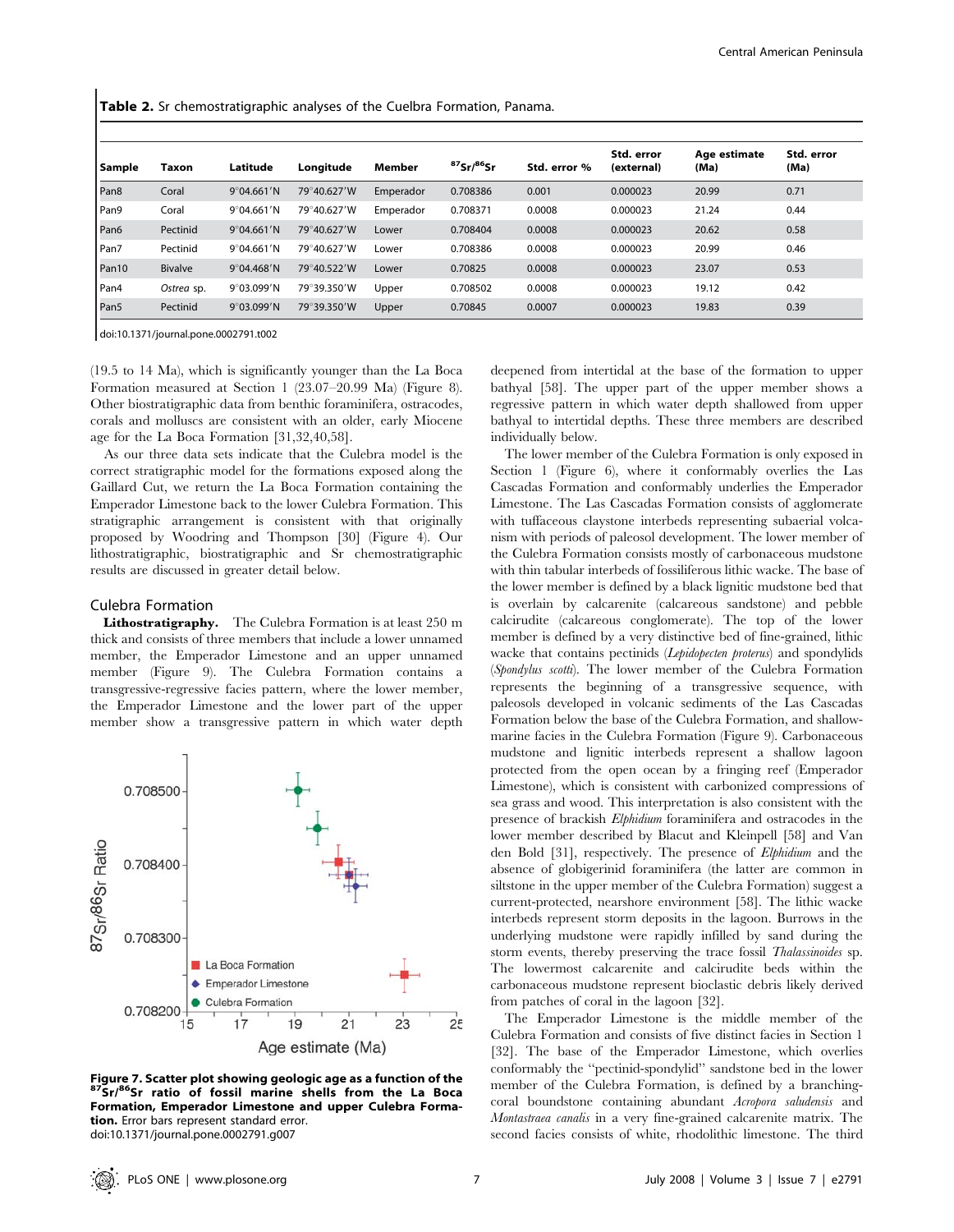Table 2. Sr chemostratigraphic analyses of the Cuelbra Formation, Panama.

| Sample            | Taxon          | Latitude             | Lonaitude   | <b>Member</b> | $87$ Sr/ $86$ Sr | Std. error % | Std. error<br>(external) | Age estimate<br>(Ma) | Std. error<br>(Ma) |
|-------------------|----------------|----------------------|-------------|---------------|------------------|--------------|--------------------------|----------------------|--------------------|
| Pan <sub>8</sub>  | Coral          | 9°04.661'N           | 79°40.627'W | Emperador     | 0.708386         | 0.001        | 0.000023                 | 20.99                | 0.71               |
| Pan9              | Coral          | 9°04.661'N           | 79°40.627'W | Emperador     | 0.708371         | 0.0008       | 0.000023                 | 21.24                | 0.44               |
| Pan6              | Pectinid       | 9°04.661'N           | 79°40.627'W | Lower         | 0.708404         | 0.0008       | 0.000023                 | 20.62                | 0.58               |
| Pan7              | Pectinid       | 9°04.661'N           | 79°40.627'W | Lower         | 0.708386         | 0.0008       | 0.000023                 | 20.99                | 0.46               |
| Pan <sub>10</sub> | <b>Bivalve</b> | 9°04.468'N           | 79°40.522'W | Lower         | 0.70825          | 0.0008       | 0.000023                 | 23.07                | 0.53               |
| Pan4              | Ostrea sp.     | $9^{\circ}$ 03.099'N | 79°39.350'W | Upper         | 0.708502         | 0.0008       | 0.000023                 | 19.12                | 0.42               |
| Pan <sub>5</sub>  | Pectinid       | $9^{\circ}$ 03.099'N | 79°39.350'W | Upper         | 0.70845          | 0.0007       | 0.000023                 | 19.83                | 0.39               |

doi:10.1371/journal.pone.0002791.t002

(19.5 to 14 Ma), which is significantly younger than the La Boca Formation measured at Section 1 (23.07–20.99 Ma) (Figure 8). Other biostratigraphic data from benthic foraminifera, ostracodes, corals and molluscs are consistent with an older, early Miocene age for the La Boca Formation [31,32,40,58].

As our three data sets indicate that the Culebra model is the correct stratigraphic model for the formations exposed along the Gaillard Cut, we return the La Boca Formation containing the Emperador Limestone back to the lower Culebra Formation. This stratigraphic arrangement is consistent with that originally proposed by Woodring and Thompson [30] (Figure 4). Our lithostratigraphic, biostratigraphic and Sr chemostratigraphic results are discussed in greater detail below.

## Culebra Formation

Lithostratigraphy. The Culebra Formation is at least 250 m thick and consists of three members that include a lower unnamed member, the Emperador Limestone and an upper unnamed member (Figure 9). The Culebra Formation contains a transgressive-regressive facies pattern, where the lower member, the Emperador Limestone and the lower part of the upper member show a transgressive pattern in which water depth



Figure 7. Scatter plot showing geologic age as a function of the 87Sr/86Sr ratio of fossil marine shells from the La Boca Formation, Emperador Limestone and upper Culebra Formation. Error bars represent standard error. doi:10.1371/journal.pone.0002791.g007

deepened from intertidal at the base of the formation to upper bathyal [58]. The upper part of the upper member shows a regressive pattern in which water depth shallowed from upper bathyal to intertidal depths. These three members are described individually below.

The lower member of the Culebra Formation is only exposed in Section 1 (Figure 6), where it conformably overlies the Las Cascadas Formation and conformably underlies the Emperador Limestone. The Las Cascadas Formation consists of agglomerate with tuffaceous claystone interbeds representing subaerial volcanism with periods of paleosol development. The lower member of the Culebra Formation consists mostly of carbonaceous mudstone with thin tabular interbeds of fossiliferous lithic wacke. The base of the lower member is defined by a black lignitic mudstone bed that is overlain by calcarenite (calcareous sandstone) and pebble calcirudite (calcareous conglomerate). The top of the lower member is defined by a very distinctive bed of fine-grained, lithic wacke that contains pectinids (Lepidopecten proterus) and spondylids (Spondylus scotti). The lower member of the Culebra Formation represents the beginning of a transgressive sequence, with paleosols developed in volcanic sediments of the Las Cascadas Formation below the base of the Culebra Formation, and shallowmarine facies in the Culebra Formation (Figure 9). Carbonaceous mudstone and lignitic interbeds represent a shallow lagoon protected from the open ocean by a fringing reef (Emperador Limestone), which is consistent with carbonized compressions of sea grass and wood. This interpretation is also consistent with the presence of brackish Elphidium foraminifera and ostracodes in the lower member described by Blacut and Kleinpell [58] and Van den Bold [31], respectively. The presence of Elphidium and the absence of globigerinid foraminifera (the latter are common in siltstone in the upper member of the Culebra Formation) suggest a current-protected, nearshore environment [58]. The lithic wacke interbeds represent storm deposits in the lagoon. Burrows in the underlying mudstone were rapidly infilled by sand during the storm events, thereby preserving the trace fossil Thalassinoides sp. The lowermost calcarenite and calcirudite beds within the carbonaceous mudstone represent bioclastic debris likely derived from patches of coral in the lagoon [32].

The Emperador Limestone is the middle member of the Culebra Formation and consists of five distinct facies in Section 1 [32]. The base of the Emperador Limestone, which overlies conformably the ''pectinid-spondylid'' sandstone bed in the lower member of the Culebra Formation, is defined by a branchingcoral boundstone containing abundant Acropora saludensis and Montastraea canalis in a very fine-grained calcarenite matrix. The second facies consists of white, rhodolithic limestone. The third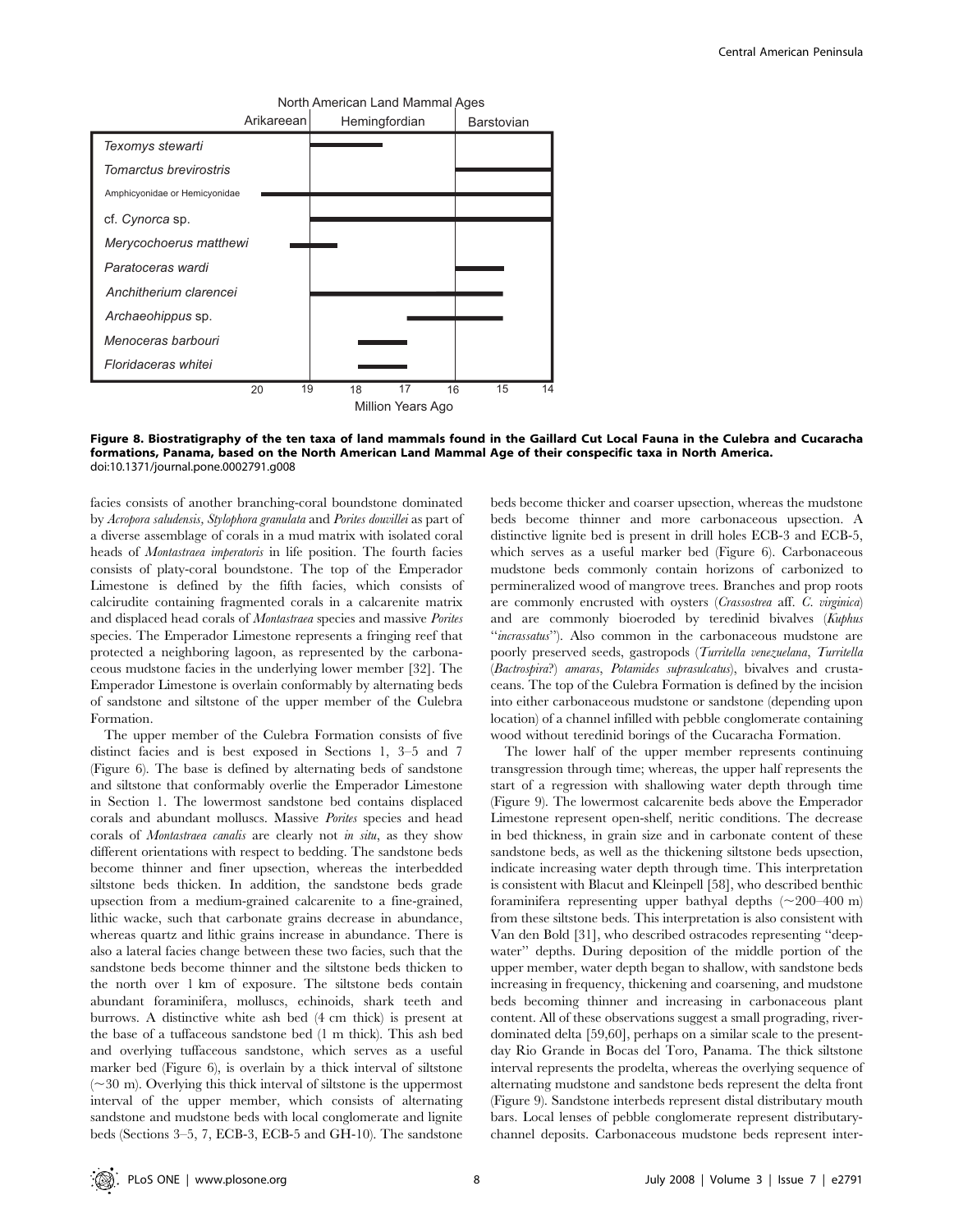

Figure 8. Biostratigraphy of the ten taxa of land mammals found in the Gaillard Cut Local Fauna in the Culebra and Cucaracha formations, Panama, based on the North American Land Mammal Age of their conspecific taxa in North America. doi:10.1371/journal.pone.0002791.g008

facies consists of another branching-coral boundstone dominated by Acropora saludensis, Stylophora granulata and Porites douvillei as part of a diverse assemblage of corals in a mud matrix with isolated coral heads of *Montastraea imperatoris* in life position. The fourth facies consists of platy-coral boundstone. The top of the Emperador Limestone is defined by the fifth facies, which consists of calcirudite containing fragmented corals in a calcarenite matrix and displaced head corals of Montastraea species and massive Porites species. The Emperador Limestone represents a fringing reef that protected a neighboring lagoon, as represented by the carbonaceous mudstone facies in the underlying lower member [32]. The Emperador Limestone is overlain conformably by alternating beds of sandstone and siltstone of the upper member of the Culebra Formation.

The upper member of the Culebra Formation consists of five distinct facies and is best exposed in Sections 1, 3–5 and 7 (Figure 6). The base is defined by alternating beds of sandstone and siltstone that conformably overlie the Emperador Limestone in Section 1. The lowermost sandstone bed contains displaced corals and abundant molluscs. Massive Porites species and head corals of Montastraea canalis are clearly not in situ, as they show different orientations with respect to bedding. The sandstone beds become thinner and finer upsection, whereas the interbedded siltstone beds thicken. In addition, the sandstone beds grade upsection from a medium-grained calcarenite to a fine-grained, lithic wacke, such that carbonate grains decrease in abundance, whereas quartz and lithic grains increase in abundance. There is also a lateral facies change between these two facies, such that the sandstone beds become thinner and the siltstone beds thicken to the north over 1 km of exposure. The siltstone beds contain abundant foraminifera, molluscs, echinoids, shark teeth and burrows. A distinctive white ash bed (4 cm thick) is present at the base of a tuffaceous sandstone bed (1 m thick). This ash bed and overlying tuffaceous sandstone, which serves as a useful marker bed (Figure 6), is overlain by a thick interval of siltstone  $(\sim 30 \text{ m})$ . Overlying this thick interval of siltstone is the uppermost interval of the upper member, which consists of alternating sandstone and mudstone beds with local conglomerate and lignite beds (Sections 3–5, 7, ECB-3, ECB-5 and GH-10). The sandstone

beds become thicker and coarser upsection, whereas the mudstone beds become thinner and more carbonaceous upsection. A distinctive lignite bed is present in drill holes ECB-3 and ECB-5, which serves as a useful marker bed (Figure 6). Carbonaceous mudstone beds commonly contain horizons of carbonized to permineralized wood of mangrove trees. Branches and prop roots are commonly encrusted with oysters (Crassostrea aff. C. virginica) and are commonly bioeroded by teredinid bivalves (Kuphus "incrassatus"). Also common in the carbonaceous mudstone are poorly preserved seeds, gastropods (Turritella venezuelana, Turritella (Bactrospira?) amaras, Potamides suprasulcatus), bivalves and crustaceans. The top of the Culebra Formation is defined by the incision into either carbonaceous mudstone or sandstone (depending upon location) of a channel infilled with pebble conglomerate containing wood without teredinid borings of the Cucaracha Formation.

The lower half of the upper member represents continuing transgression through time; whereas, the upper half represents the start of a regression with shallowing water depth through time (Figure 9). The lowermost calcarenite beds above the Emperador Limestone represent open-shelf, neritic conditions. The decrease in bed thickness, in grain size and in carbonate content of these sandstone beds, as well as the thickening siltstone beds upsection, indicate increasing water depth through time. This interpretation is consistent with Blacut and Kleinpell [58], who described benthic foraminifera representing upper bathyal depths  $(\sim 200-400 \text{ m})$ from these siltstone beds. This interpretation is also consistent with Van den Bold [31], who described ostracodes representing ''deepwater'' depths. During deposition of the middle portion of the upper member, water depth began to shallow, with sandstone beds increasing in frequency, thickening and coarsening, and mudstone beds becoming thinner and increasing in carbonaceous plant content. All of these observations suggest a small prograding, riverdominated delta [59,60], perhaps on a similar scale to the presentday Rio Grande in Bocas del Toro, Panama. The thick siltstone interval represents the prodelta, whereas the overlying sequence of alternating mudstone and sandstone beds represent the delta front (Figure 9). Sandstone interbeds represent distal distributary mouth bars. Local lenses of pebble conglomerate represent distributarychannel deposits. Carbonaceous mudstone beds represent inter-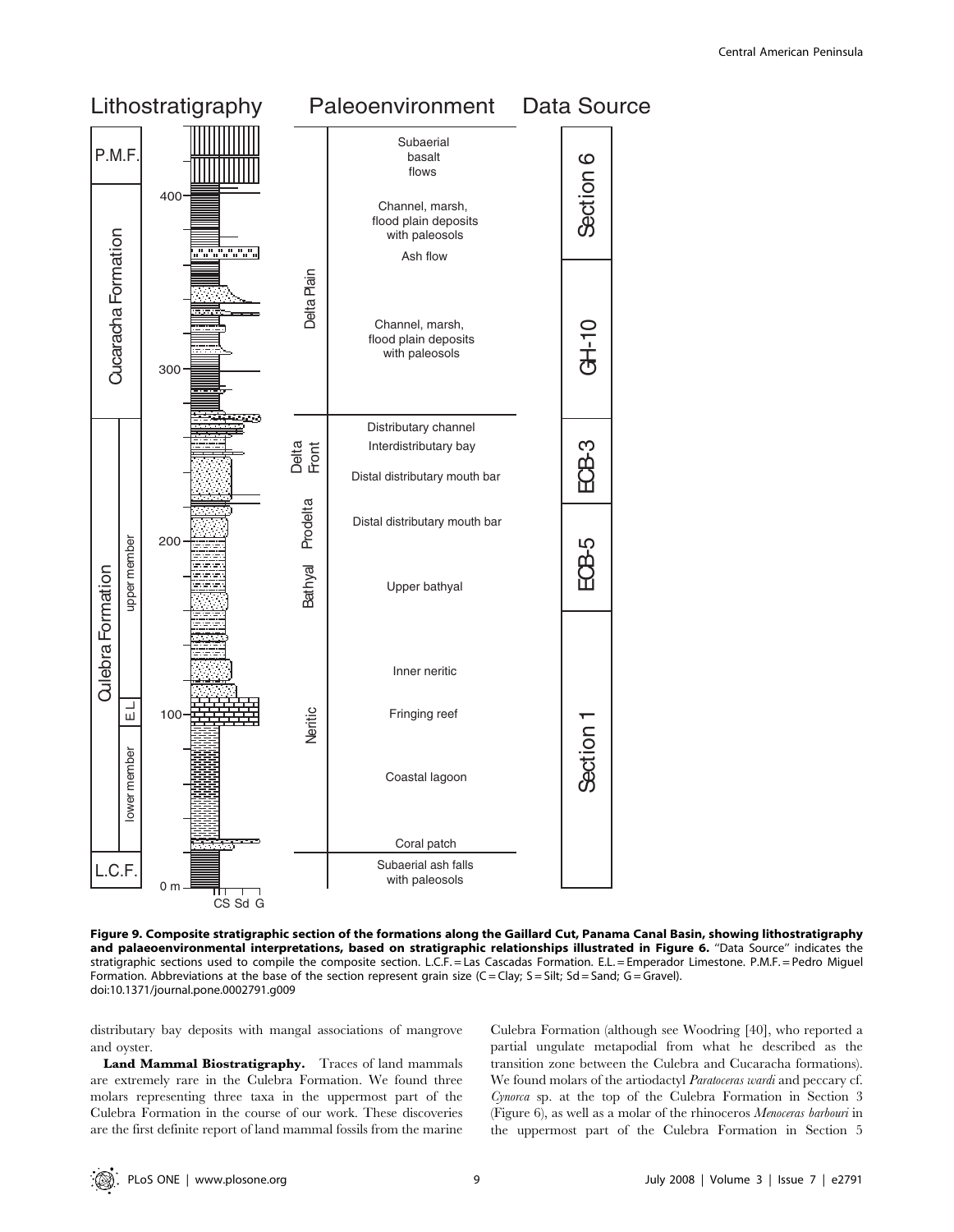

Figure 9. Composite stratigraphic section of the formations along the Gaillard Cut, Panama Canal Basin, showing lithostratigraphy and palaeoenvironmental interpretations, based on stratigraphic relationships illustrated in Figure 6. "Data Source" indicates the stratigraphic sections used to compile the composite section. L.C.F. = Las Cascadas Formation. E.L. = Emperador Limestone. P.M.F. = Pedro Miguel Formation. Abbreviations at the base of the section represent grain size (C = Clay; S = Silt; Sd = Sand; G = Gravel). doi:10.1371/journal.pone.0002791.g009

distributary bay deposits with mangal associations of mangrove and oyster.

Land Mammal Biostratigraphy. Traces of land mammals are extremely rare in the Culebra Formation. We found three molars representing three taxa in the uppermost part of the Culebra Formation in the course of our work. These discoveries are the first definite report of land mammal fossils from the marine Culebra Formation (although see Woodring [40], who reported a partial ungulate metapodial from what he described as the transition zone between the Culebra and Cucaracha formations). We found molars of the artiodactyl Paratoceras wardi and peccary cf. Cynorca sp. at the top of the Culebra Formation in Section 3 (Figure 6), as well as a molar of the rhinoceros Menoceras barbouri in the uppermost part of the Culebra Formation in Section 5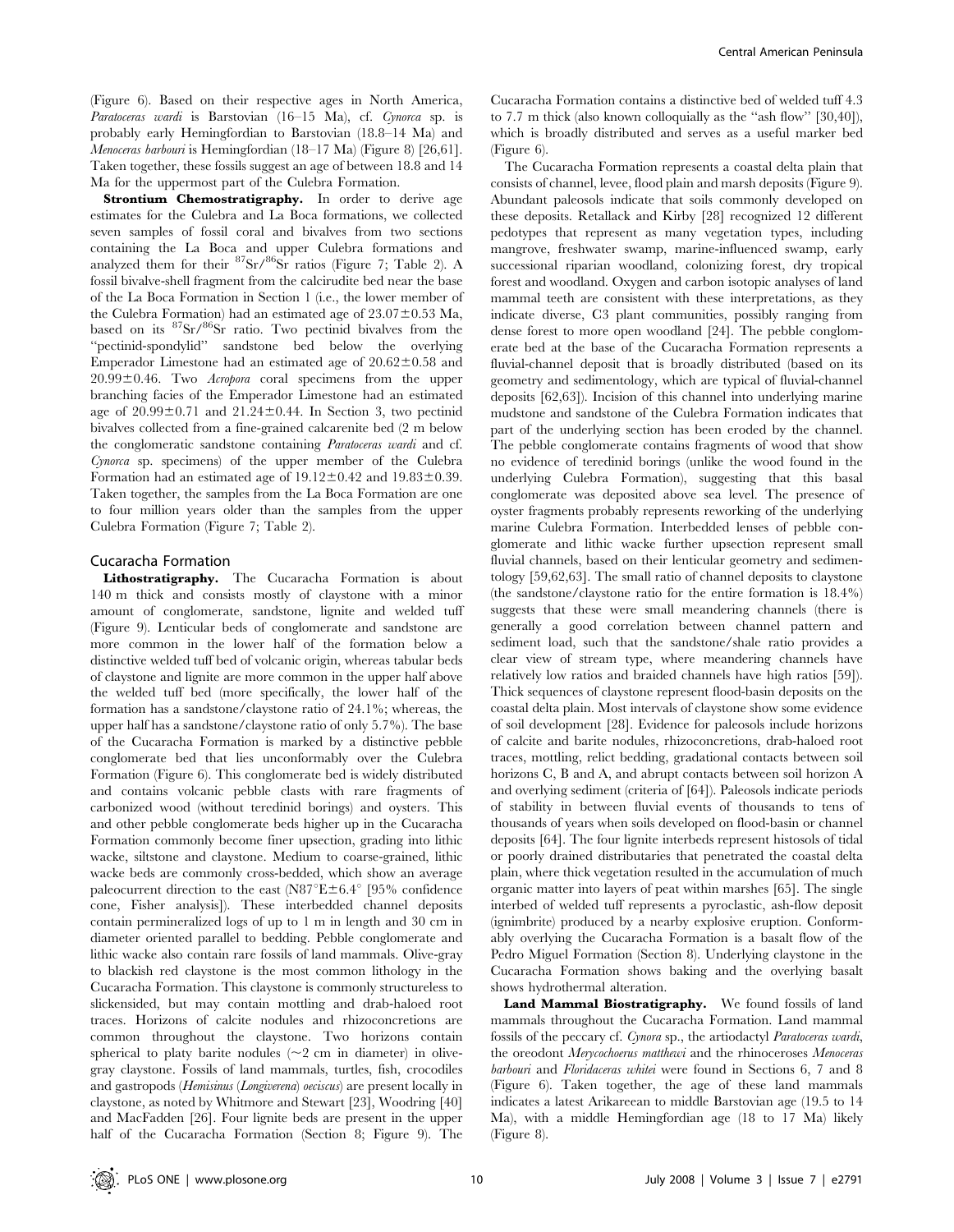(Figure 6). Based on their respective ages in North America, Paratoceras wardi is Barstovian (16–15 Ma), cf. Cynorca sp. is probably early Hemingfordian to Barstovian (18.8–14 Ma) and Menoceras barbouri is Hemingfordian (18–17 Ma) (Figure 8) [26,61]. Taken together, these fossils suggest an age of between 18.8 and 14 Ma for the uppermost part of the Culebra Formation.

Strontium Chemostratigraphy. In order to derive age estimates for the Culebra and La Boca formations, we collected seven samples of fossil coral and bivalves from two sections containing the La Boca and upper Culebra formations and analyzed them for their  ${}^{87}Sr/{}^{86}Sr$  ratios (Figure 7; Table 2). A fossil bivalve-shell fragment from the calcirudite bed near the base of the La Boca Formation in Section 1 (i.e., the lower member of the Culebra Formation) had an estimated age of  $23.07\pm0.53$  Ma, based on its 87Sr/86Sr ratio. Two pectinid bivalves from the ''pectinid-spondylid'' sandstone bed below the overlying Emperador Limestone had an estimated age of  $20.62 \pm 0.58$  and  $20.99\pm0.46$ . Two *Acropora* coral specimens from the upper branching facies of the Emperador Limestone had an estimated age of  $20.99\pm0.71$  and  $21.24\pm0.44$ . In Section 3, two pectinid bivalves collected from a fine-grained calcarenite bed (2 m below the conglomeratic sandstone containing Paratoceras wardi and cf. Cynorca sp. specimens) of the upper member of the Culebra Formation had an estimated age of  $19.12 \pm 0.42$  and  $19.83 \pm 0.39$ . Taken together, the samples from the La Boca Formation are one to four million years older than the samples from the upper Culebra Formation (Figure 7; Table 2).

#### Cucaracha Formation

Lithostratigraphy. The Cucaracha Formation is about 140 m thick and consists mostly of claystone with a minor amount of conglomerate, sandstone, lignite and welded tuff (Figure 9). Lenticular beds of conglomerate and sandstone are more common in the lower half of the formation below a distinctive welded tuff bed of volcanic origin, whereas tabular beds of claystone and lignite are more common in the upper half above the welded tuff bed (more specifically, the lower half of the formation has a sandstone/claystone ratio of 24.1%; whereas, the upper half has a sandstone/claystone ratio of only 5.7%). The base of the Cucaracha Formation is marked by a distinctive pebble conglomerate bed that lies unconformably over the Culebra Formation (Figure 6). This conglomerate bed is widely distributed and contains volcanic pebble clasts with rare fragments of carbonized wood (without teredinid borings) and oysters. This and other pebble conglomerate beds higher up in the Cucaracha Formation commonly become finer upsection, grading into lithic wacke, siltstone and claystone. Medium to coarse-grained, lithic wacke beds are commonly cross-bedded, which show an average paleocurrent direction to the east (N87 $\mathrm{E} \pm 6.4\mathrm{^{\circ}}$  [95% confidence cone, Fisher analysis]). These interbedded channel deposits contain permineralized logs of up to 1 m in length and 30 cm in diameter oriented parallel to bedding. Pebble conglomerate and lithic wacke also contain rare fossils of land mammals. Olive-gray to blackish red claystone is the most common lithology in the Cucaracha Formation. This claystone is commonly structureless to slickensided, but may contain mottling and drab-haloed root traces. Horizons of calcite nodules and rhizoconcretions are common throughout the claystone. Two horizons contain spherical to platy barite nodules  $(2 \text{ cm})$  in diameter) in olivegray claystone. Fossils of land mammals, turtles, fish, crocodiles and gastropods (Hemisinus (Longiverena) oeciscus) are present locally in claystone, as noted by Whitmore and Stewart [23], Woodring [40] and MacFadden [26]. Four lignite beds are present in the upper half of the Cucaracha Formation (Section 8; Figure 9). The

Cucaracha Formation contains a distinctive bed of welded tuff 4.3 to 7.7 m thick (also known colloquially as the ''ash flow'' [30,40]), which is broadly distributed and serves as a useful marker bed (Figure 6).

The Cucaracha Formation represents a coastal delta plain that consists of channel, levee, flood plain and marsh deposits (Figure 9). Abundant paleosols indicate that soils commonly developed on these deposits. Retallack and Kirby [28] recognized 12 different pedotypes that represent as many vegetation types, including mangrove, freshwater swamp, marine-influenced swamp, early successional riparian woodland, colonizing forest, dry tropical forest and woodland. Oxygen and carbon isotopic analyses of land mammal teeth are consistent with these interpretations, as they indicate diverse, C3 plant communities, possibly ranging from dense forest to more open woodland [24]. The pebble conglomerate bed at the base of the Cucaracha Formation represents a fluvial-channel deposit that is broadly distributed (based on its geometry and sedimentology, which are typical of fluvial-channel deposits [62,63]). Incision of this channel into underlying marine mudstone and sandstone of the Culebra Formation indicates that part of the underlying section has been eroded by the channel. The pebble conglomerate contains fragments of wood that show no evidence of teredinid borings (unlike the wood found in the underlying Culebra Formation), suggesting that this basal conglomerate was deposited above sea level. The presence of oyster fragments probably represents reworking of the underlying marine Culebra Formation. Interbedded lenses of pebble conglomerate and lithic wacke further upsection represent small fluvial channels, based on their lenticular geometry and sedimentology [59,62,63]. The small ratio of channel deposits to claystone (the sandstone/claystone ratio for the entire formation is 18.4%) suggests that these were small meandering channels (there is generally a good correlation between channel pattern and sediment load, such that the sandstone/shale ratio provides a clear view of stream type, where meandering channels have relatively low ratios and braided channels have high ratios [59]). Thick sequences of claystone represent flood-basin deposits on the coastal delta plain. Most intervals of claystone show some evidence of soil development [28]. Evidence for paleosols include horizons of calcite and barite nodules, rhizoconcretions, drab-haloed root traces, mottling, relict bedding, gradational contacts between soil horizons C, B and A, and abrupt contacts between soil horizon A and overlying sediment (criteria of [64]). Paleosols indicate periods of stability in between fluvial events of thousands to tens of thousands of years when soils developed on flood-basin or channel deposits [64]. The four lignite interbeds represent histosols of tidal or poorly drained distributaries that penetrated the coastal delta plain, where thick vegetation resulted in the accumulation of much organic matter into layers of peat within marshes [65]. The single interbed of welded tuff represents a pyroclastic, ash-flow deposit (ignimbrite) produced by a nearby explosive eruption. Conformably overlying the Cucaracha Formation is a basalt flow of the Pedro Miguel Formation (Section 8). Underlying claystone in the Cucaracha Formation shows baking and the overlying basalt shows hydrothermal alteration.

Land Mammal Biostratigraphy. We found fossils of land mammals throughout the Cucaracha Formation. Land mammal fossils of the peccary cf. Cynora sp., the artiodactyl Paratoceras wardi, the oreodont Merycochoerus matthewi and the rhinoceroses Menoceras barbouri and Floridaceras whitei were found in Sections 6, 7 and 8 (Figure 6). Taken together, the age of these land mammals indicates a latest Arikareean to middle Barstovian age (19.5 to 14 Ma), with a middle Hemingfordian age (18 to 17 Ma) likely (Figure 8).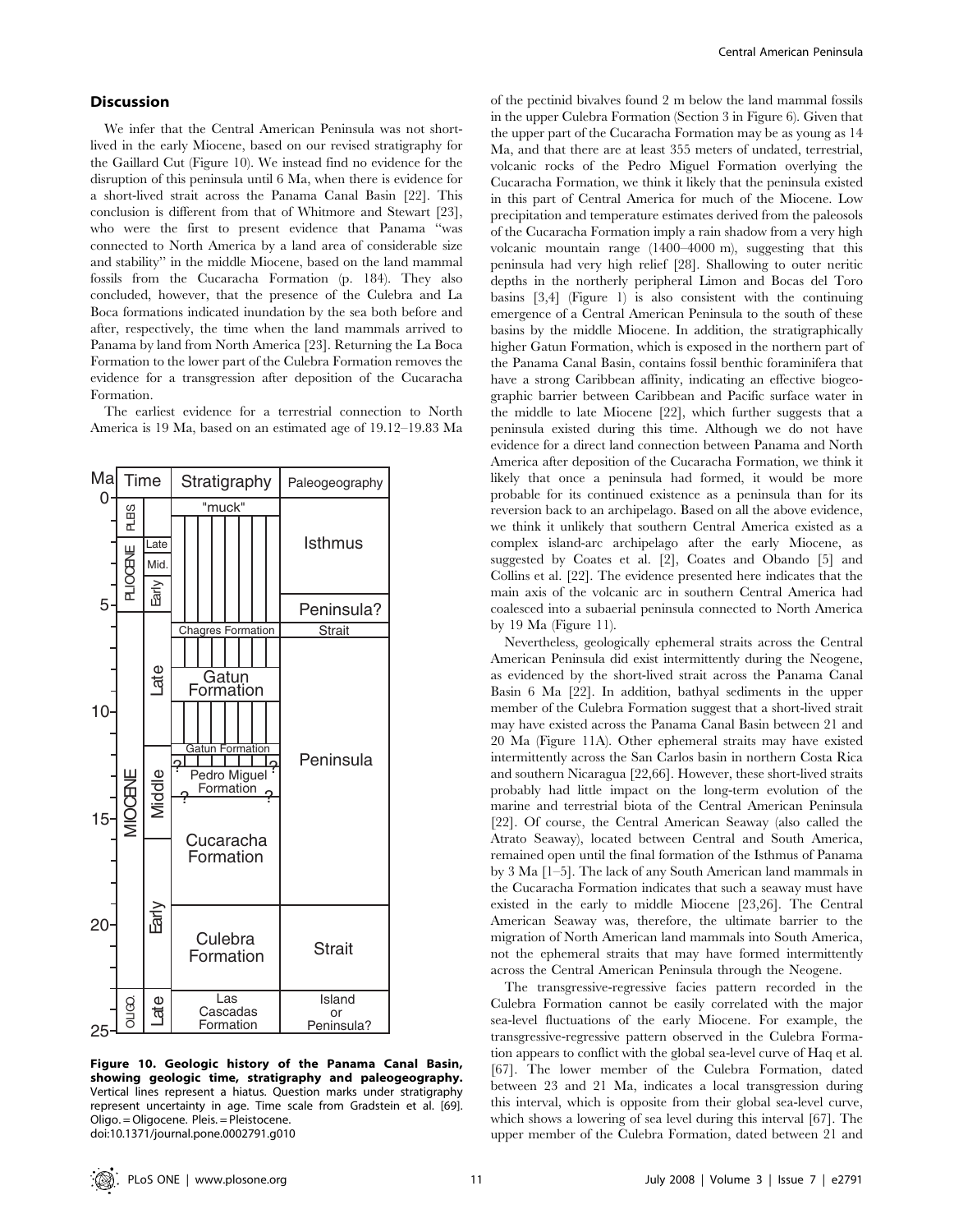## **Discussion**

We infer that the Central American Peninsula was not shortlived in the early Miocene, based on our revised stratigraphy for the Gaillard Cut (Figure 10). We instead find no evidence for the disruption of this peninsula until 6 Ma, when there is evidence for a short-lived strait across the Panama Canal Basin [22]. This conclusion is different from that of Whitmore and Stewart [23], who were the first to present evidence that Panama ''was connected to North America by a land area of considerable size and stability'' in the middle Miocene, based on the land mammal fossils from the Cucaracha Formation (p. 184). They also concluded, however, that the presence of the Culebra and La Boca formations indicated inundation by the sea both before and after, respectively, the time when the land mammals arrived to Panama by land from North America [23]. Returning the La Boca Formation to the lower part of the Culebra Formation removes the evidence for a transgression after deposition of the Cucaracha Formation.

The earliest evidence for a terrestrial connection to North America is 19 Ma, based on an estimated age of 19.12–19.83 Ma



Figure 10. Geologic history of the Panama Canal Basin, showing geologic time, stratigraphy and paleogeography. Vertical lines represent a hiatus. Question marks under stratigraphy represent uncertainty in age. Time scale from Gradstein et al. [69]. Oligo. = Oligocene. Pleis. = Pleistocene. doi:10.1371/journal.pone.0002791.g010

of the pectinid bivalves found 2 m below the land mammal fossils in the upper Culebra Formation (Section 3 in Figure 6). Given that the upper part of the Cucaracha Formation may be as young as 14 Ma, and that there are at least 355 meters of undated, terrestrial, volcanic rocks of the Pedro Miguel Formation overlying the Cucaracha Formation, we think it likely that the peninsula existed in this part of Central America for much of the Miocene. Low precipitation and temperature estimates derived from the paleosols of the Cucaracha Formation imply a rain shadow from a very high volcanic mountain range (1400–4000 m), suggesting that this peninsula had very high relief [28]. Shallowing to outer neritic depths in the northerly peripheral Limon and Bocas del Toro basins [3,4] (Figure 1) is also consistent with the continuing emergence of a Central American Peninsula to the south of these basins by the middle Miocene. In addition, the stratigraphically higher Gatun Formation, which is exposed in the northern part of the Panama Canal Basin, contains fossil benthic foraminifera that have a strong Caribbean affinity, indicating an effective biogeographic barrier between Caribbean and Pacific surface water in the middle to late Miocene [22], which further suggests that a peninsula existed during this time. Although we do not have evidence for a direct land connection between Panama and North America after deposition of the Cucaracha Formation, we think it likely that once a peninsula had formed, it would be more probable for its continued existence as a peninsula than for its reversion back to an archipelago. Based on all the above evidence, we think it unlikely that southern Central America existed as a complex island-arc archipelago after the early Miocene, as suggested by Coates et al. [2], Coates and Obando [5] and Collins et al. [22]. The evidence presented here indicates that the main axis of the volcanic arc in southern Central America had coalesced into a subaerial peninsula connected to North America by 19 Ma (Figure 11).

Nevertheless, geologically ephemeral straits across the Central American Peninsula did exist intermittently during the Neogene, as evidenced by the short-lived strait across the Panama Canal Basin 6 Ma [22]. In addition, bathyal sediments in the upper member of the Culebra Formation suggest that a short-lived strait may have existed across the Panama Canal Basin between 21 and 20 Ma (Figure 11A). Other ephemeral straits may have existed intermittently across the San Carlos basin in northern Costa Rica and southern Nicaragua [22,66]. However, these short-lived straits probably had little impact on the long-term evolution of the marine and terrestrial biota of the Central American Peninsula [22]. Of course, the Central American Seaway (also called the Atrato Seaway), located between Central and South America, remained open until the final formation of the Isthmus of Panama by 3 Ma [1–5]. The lack of any South American land mammals in the Cucaracha Formation indicates that such a seaway must have existed in the early to middle Miocene [23,26]. The Central American Seaway was, therefore, the ultimate barrier to the migration of North American land mammals into South America, not the ephemeral straits that may have formed intermittently across the Central American Peninsula through the Neogene.

The transgressive-regressive facies pattern recorded in the Culebra Formation cannot be easily correlated with the major sea-level fluctuations of the early Miocene. For example, the transgressive-regressive pattern observed in the Culebra Formation appears to conflict with the global sea-level curve of Haq et al. [67]. The lower member of the Culebra Formation, dated between 23 and 21 Ma, indicates a local transgression during this interval, which is opposite from their global sea-level curve, which shows a lowering of sea level during this interval [67]. The upper member of the Culebra Formation, dated between 21 and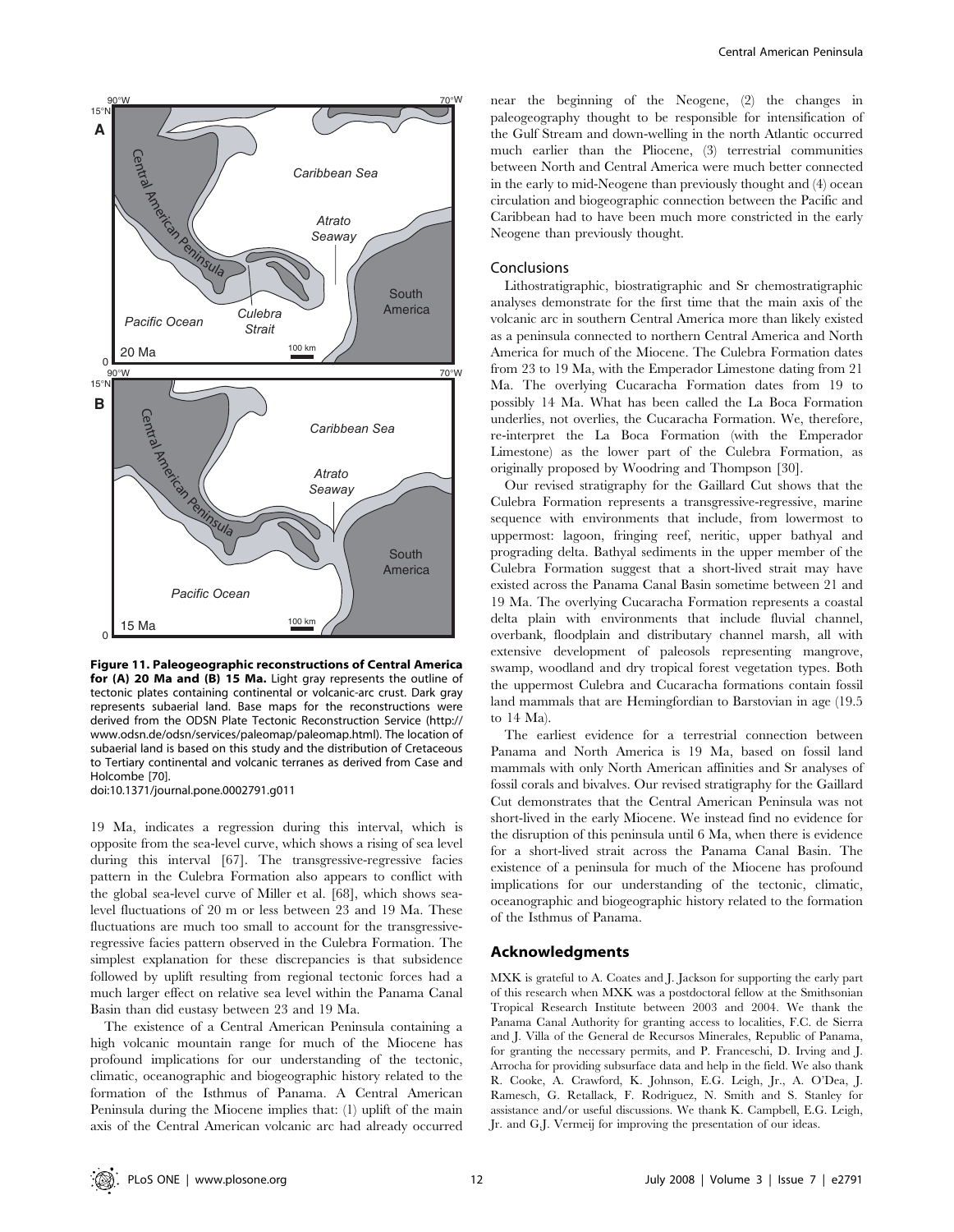

Figure 11. Paleogeographic reconstructions of Central America for (A) 20 Ma and (B) 15 Ma. Light gray represents the outline of tectonic plates containing continental or volcanic-arc crust. Dark gray represents subaerial land. Base maps for the reconstructions were derived from the ODSN Plate Tectonic Reconstruction Service (http:// www.odsn.de/odsn/services/paleomap/paleomap.html). The location of subaerial land is based on this study and the distribution of Cretaceous to Tertiary continental and volcanic terranes as derived from Case and Holcombe [70].

doi:10.1371/journal.pone.0002791.g011

19 Ma, indicates a regression during this interval, which is opposite from the sea-level curve, which shows a rising of sea level during this interval [67]. The transgressive-regressive facies pattern in the Culebra Formation also appears to conflict with the global sea-level curve of Miller et al. [68], which shows sealevel fluctuations of 20 m or less between 23 and 19 Ma. These fluctuations are much too small to account for the transgressiveregressive facies pattern observed in the Culebra Formation. The simplest explanation for these discrepancies is that subsidence followed by uplift resulting from regional tectonic forces had a much larger effect on relative sea level within the Panama Canal Basin than did eustasy between 23 and 19 Ma.

The existence of a Central American Peninsula containing a high volcanic mountain range for much of the Miocene has profound implications for our understanding of the tectonic, climatic, oceanographic and biogeographic history related to the formation of the Isthmus of Panama. A Central American Peninsula during the Miocene implies that: (1) uplift of the main axis of the Central American volcanic arc had already occurred near the beginning of the Neogene, (2) the changes in paleogeography thought to be responsible for intensification of the Gulf Stream and down-welling in the north Atlantic occurred much earlier than the Pliocene, (3) terrestrial communities between North and Central America were much better connected in the early to mid-Neogene than previously thought and (4) ocean circulation and biogeographic connection between the Pacific and Caribbean had to have been much more constricted in the early Neogene than previously thought.

#### Conclusions

Lithostratigraphic, biostratigraphic and Sr chemostratigraphic analyses demonstrate for the first time that the main axis of the volcanic arc in southern Central America more than likely existed as a peninsula connected to northern Central America and North America for much of the Miocene. The Culebra Formation dates from 23 to 19 Ma, with the Emperador Limestone dating from 21 Ma. The overlying Cucaracha Formation dates from 19 to possibly 14 Ma. What has been called the La Boca Formation underlies, not overlies, the Cucaracha Formation. We, therefore, re-interpret the La Boca Formation (with the Emperador Limestone) as the lower part of the Culebra Formation, as originally proposed by Woodring and Thompson [30].

Our revised stratigraphy for the Gaillard Cut shows that the Culebra Formation represents a transgressive-regressive, marine sequence with environments that include, from lowermost to uppermost: lagoon, fringing reef, neritic, upper bathyal and prograding delta. Bathyal sediments in the upper member of the Culebra Formation suggest that a short-lived strait may have existed across the Panama Canal Basin sometime between 21 and 19 Ma. The overlying Cucaracha Formation represents a coastal delta plain with environments that include fluvial channel, overbank, floodplain and distributary channel marsh, all with extensive development of paleosols representing mangrove, swamp, woodland and dry tropical forest vegetation types. Both the uppermost Culebra and Cucaracha formations contain fossil land mammals that are Hemingfordian to Barstovian in age (19.5 to 14 Ma).

The earliest evidence for a terrestrial connection between Panama and North America is 19 Ma, based on fossil land mammals with only North American affinities and Sr analyses of fossil corals and bivalves. Our revised stratigraphy for the Gaillard Cut demonstrates that the Central American Peninsula was not short-lived in the early Miocene. We instead find no evidence for the disruption of this peninsula until 6 Ma, when there is evidence for a short-lived strait across the Panama Canal Basin. The existence of a peninsula for much of the Miocene has profound implications for our understanding of the tectonic, climatic, oceanographic and biogeographic history related to the formation of the Isthmus of Panama.

## Acknowledgments

MXK is grateful to A. Coates and J. Jackson for supporting the early part of this research when MXK was a postdoctoral fellow at the Smithsonian Tropical Research Institute between 2003 and 2004. We thank the Panama Canal Authority for granting access to localities, F.C. de Sierra and J. Villa of the General de Recursos Minerales, Republic of Panama, for granting the necessary permits, and P. Franceschi, D. Irving and J. Arrocha for providing subsurface data and help in the field. We also thank R. Cooke, A. Crawford, K. Johnson, E.G. Leigh, Jr., A. O'Dea, J. Ramesch, G. Retallack, F. Rodriguez, N. Smith and S. Stanley for assistance and/or useful discussions. We thank K. Campbell, E.G. Leigh, Jr. and G.J. Vermeij for improving the presentation of our ideas.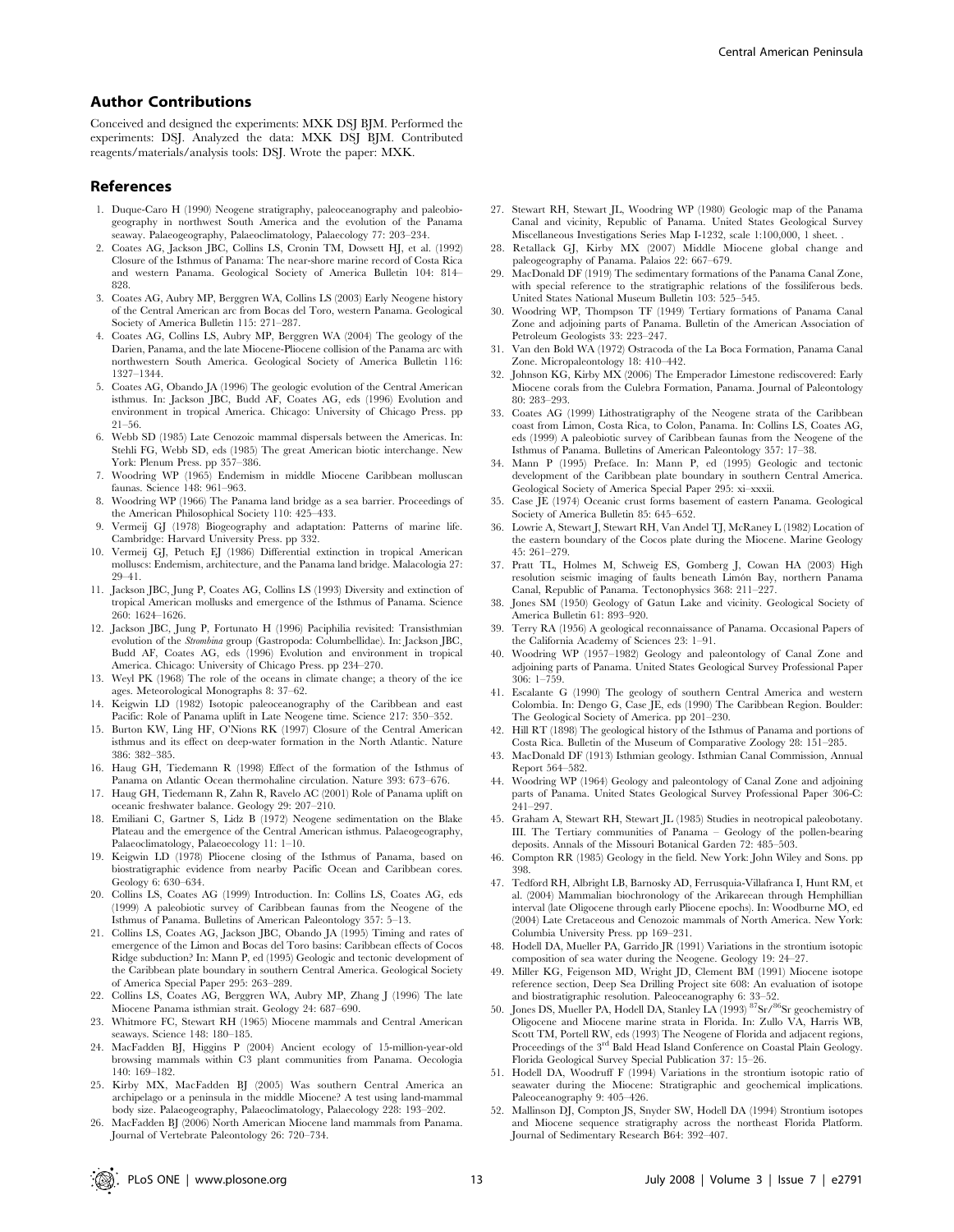## Author Contributions

Conceived and designed the experiments: MXK DSJ BJM. Performed the experiments: DSJ. Analyzed the data: MXK DSJ BJM. Contributed reagents/materials/analysis tools: DSJ. Wrote the paper: MXK.

#### References

- 1. Duque-Caro H (1990) Neogene stratigraphy, paleoceanography and paleobiogeography in northwest South America and the evolution of the Panama seaway. Palaeogeography, Palaeoclimatology, Palaecology 77: 203–234.
- 2. Coates AG, Jackson JBC, Collins LS, Cronin TM, Dowsett HJ, et al. (1992) Closure of the Isthmus of Panama: The near-shore marine record of Costa Rica and western Panama. Geological Society of America Bulletin 104: 814– 828.
- 3. Coates AG, Aubry MP, Berggren WA, Collins LS (2003) Early Neogene history of the Central American arc from Bocas del Toro, western Panama. Geological Society of America Bulletin 115: 271–287.
- 4. Coates AG, Collins LS, Aubry MP, Berggren WA (2004) The geology of the Darien, Panama, and the late Miocene-Pliocene collision of the Panama arc with northwestern South America. Geological Society of America Bulletin 116: 1327–1344.
- 5. Coates AG, Obando JA (1996) The geologic evolution of the Central American isthmus. In: Jackson JBC, Budd AF, Coates AG, eds (1996) Evolution and environment in tropical America. Chicago: University of Chicago Press. pp 21–56.
- 6. Webb SD (1985) Late Cenozoic mammal dispersals between the Americas. In: Stehli FG, Webb SD, eds (1985) The great American biotic interchange. New York: Plenum Press. pp 357–386.
- 7. Woodring WP (1965) Endemism in middle Miocene Caribbean molluscan faunas. Science 148: 961–963.
- 8. Woodring WP (1966) The Panama land bridge as a sea barrier. Proceedings of the American Philosophical Society 110: 425–433.
- 9. Vermeij GJ (1978) Biogeography and adaptation: Patterns of marine life. Cambridge: Harvard University Press. pp 332.
- 10. Vermeij GJ, Petuch EJ (1986) Differential extinction in tropical American molluscs: Endemism, architecture, and the Panama land bridge. Malacologia 27: 29–41.
- 11. Jackson JBC, Jung P, Coates AG, Collins LS (1993) Diversity and extinction of tropical American mollusks and emergence of the Isthmus of Panama. Science 260: 1624–1626.
- 12. Jackson JBC, Jung P, Fortunato H (1996) Paciphilia revisited: Transisthmian evolution of the Strombina group (Gastropoda: Columbellidae). In: Jackson JBC, Budd AF, Coates AG, eds (1996) Evolution and environment in tropical America. Chicago: University of Chicago Press. pp 234–270.
- 13. Weyl PK (1968) The role of the oceans in climate change; a theory of the ice ages. Meteorological Monographs 8: 37–62.
- 14. Keigwin LD (1982) Isotopic paleoceanography of the Caribbean and east Pacific: Role of Panama uplift in Late Neogene time. Science 217: 350–352.
- 15. Burton KW, Ling HF, O'Nions RK (1997) Closure of the Central American isthmus and its effect on deep-water formation in the North Atlantic. Nature 386: 382–385.
- 16. Haug GH, Tiedemann R (1998) Effect of the formation of the Isthmus of Panama on Atlantic Ocean thermohaline circulation. Nature 393: 673–676.
- 17. Haug GH, Tiedemann R, Zahn R, Ravelo AC (2001) Role of Panama uplift on oceanic freshwater balance. Geology 29: 207–210.
- 18. Emiliani C, Gartner S, Lidz B (1972) Neogene sedimentation on the Blake Plateau and the emergence of the Central American isthmus. Palaeogeography, Palaeoclimatology, Palaeoecology 11: 1–10.
- 19. Keigwin LD (1978) Pliocene closing of the Isthmus of Panama, based on biostratigraphic evidence from nearby Pacific Ocean and Caribbean cores. Geology 6: 630–634.
- 20. Collins LS, Coates AG (1999) Introduction. In: Collins LS, Coates AG, eds (1999) A paleobiotic survey of Caribbean faunas from the Neogene of the Isthmus of Panama. Bulletins of American Paleontology 357: 5–13.
- 21. Collins LS, Coates AG, Jackson JBC, Obando JA (1995) Timing and rates of emergence of the Limon and Bocas del Toro basins: Caribbean effects of Cocos Ridge subduction? In: Mann P, ed (1995) Geologic and tectonic development of the Caribbean plate boundary in southern Central America. Geological Society of America Special Paper 295: 263–289.
- 22. Collins LS, Coates AG, Berggren WA, Aubry MP, Zhang J (1996) The late Miocene Panama isthmian strait. Geology 24: 687–690.
- 23. Whitmore FC, Stewart RH (1965) Miocene mammals and Central American seaways. Science 148: 180–185.
- 24. MacFadden BJ, Higgins P (2004) Ancient ecology of 15-million-year-old browsing mammals within C3 plant communities from Panama. Oecologia 140: 169–182.
- 25. Kirby MX, MacFadden BJ (2005) Was southern Central America an archipelago or a peninsula in the middle Miocene? A test using land-mammal body size. Palaeogeography, Palaeoclimatology, Palaecology 228: 193–202.
- 26. MacFadden BJ (2006) North American Miocene land mammals from Panama. Journal of Vertebrate Paleontology 26: 720–734.
- 27. Stewart RH, Stewart JL, Woodring WP (1980) Geologic map of the Panama Canal and vicinity, Republic of Panama. United States Geological Survey Miscellaneous Investigations Series Map I-1232, scale 1:100,000, 1 sheet. .
- 28. Retallack GJ, Kirby MX (2007) Middle Miocene global change and paleogeography of Panama. Palaios 22: 667–679.
- 29. MacDonald DF (1919) The sedimentary formations of the Panama Canal Zone, with special reference to the stratigraphic relations of the fossiliferous beds. United States National Museum Bulletin 103: 525–545.
- 30. Woodring WP, Thompson TF (1949) Tertiary formations of Panama Canal Zone and adjoining parts of Panama. Bulletin of the American Association of Petroleum Geologists 33: 223–247.
- 31. Van den Bold WA (1972) Ostracoda of the La Boca Formation, Panama Canal Zone. Micropaleontology 18: 410–442.
- 32. Johnson KG, Kirby MX (2006) The Emperador Limestone rediscovered: Early Miocene corals from the Culebra Formation, Panama. Journal of Paleontology 80: 283–293.
- 33. Coates AG (1999) Lithostratigraphy of the Neogene strata of the Caribbean coast from Limon, Costa Rica, to Colon, Panama. In: Collins LS, Coates AG, eds (1999) A paleobiotic survey of Caribbean faunas from the Neogene of the Isthmus of Panama. Bulletins of American Paleontology 357: 17–38.
- 34. Mann P (1995) Preface. In: Mann P, ed (1995) Geologic and tectonic development of the Caribbean plate boundary in southern Central America. Geological Society of America Special Paper 295: xi–xxxii.
- 35. Case JE (1974) Oceanic crust forms basement of eastern Panama. Geological Society of America Bulletin 85: 645–652.
- 36. Lowrie A, Stewart J, Stewart RH, Van Andel TJ, McRaney L (1982) Location of the eastern boundary of the Cocos plate during the Miocene. Marine Geology 45: 261–279.
- 37. Pratt TL, Holmes M, Schweig ES, Gomberg J, Cowan HA (2003) High resolution seismic imaging of faults beneath Limón Bay, northern Panama Canal, Republic of Panama. Tectonophysics 368: 211–227.
- 38. Jones SM (1950) Geology of Gatun Lake and vicinity. Geological Society of America Bulletin 61: 893–920.
- 39. Terry RA (1956) A geological reconnaissance of Panama. Occasional Papers of the California Academy of Sciences 23: 1–91.
- 40. Woodring WP (1957–1982) Geology and paleontology of Canal Zone and adjoining parts of Panama. United States Geological Survey Professional Paper 306: 1–759.
- 41. Escalante G (1990) The geology of southern Central America and western Colombia. In: Dengo G, Case JE, eds (1990) The Caribbean Region. Boulder: The Geological Society of America. pp 201–230.
- 42. Hill RT (1898) The geological history of the Isthmus of Panama and portions of Costa Rica. Bulletin of the Museum of Comparative Zoology 28: 151–285.
- 43. MacDonald DF (1913) Isthmian geology. Isthmian Canal Commission, Annual Report 564–582.
- 44. Woodring WP (1964) Geology and paleontology of Canal Zone and adjoining parts of Panama. United States Geological Survey Professional Paper 306-C: 241–297.
- 45. Graham A, Stewart RH, Stewart JL (1985) Studies in neotropical paleobotany. III. The Tertiary communities of Panama – Geology of the pollen-bearing deposits. Annals of the Missouri Botanical Garden 72: 485–503.
- 46. Compton RR (1985) Geology in the field. New York: John Wiley and Sons. pp 398.
- 47. Tedford RH, Albright LB, Barnosky AD, Ferrusquia-Villafranca I, Hunt RM, et al. (2004) Mammalian biochronology of the Arikareean through Hemphillian interval (late Oligocene through early Pliocene epochs). In: Woodburne MO, ed (2004) Late Cretaceous and Cenozoic mammals of North America. New York: Columbia University Press. pp 169–231.
- 48. Hodell DA, Mueller PA, Garrido JR (1991) Variations in the strontium isotopic composition of sea water during the Neogene. Geology 19: 24–27.
- 49. Miller KG, Feigenson MD, Wright JD, Clement BM (1991) Miocene isotope reference section, Deep Sea Drilling Project site 608: An evaluation of isotope and biostratigraphic resolution. Paleoceanography 6: 33–52.
- 50. Jones DS, Mueller PA, Hodell DA, Stanley LA (1993) 87Sr/86Sr geochemistry of Oligocene and Miocene marine strata in Florida. In: Zullo VA, Harris WB, Scott TM, Portell RW, eds (1993) The Neogene of Florida and adjacent regions, Proceedings of the 3<sup>rd</sup> Bald Head Island Conference on Coastal Plain Geology. Florida Geological Survey Special Publication 37: 15–26.
- 51. Hodell DA, Woodruff F (1994) Variations in the strontium isotopic ratio of seawater during the Miocene: Stratigraphic and geochemical implications. Paleoceanography 9: 405–426.
- 52. Mallinson DJ, Compton JS, Snyder SW, Hodell DA (1994) Strontium isotopes and Miocene sequence stratigraphy across the northeast Florida Platform. Journal of Sedimentary Research B64: 392–407.